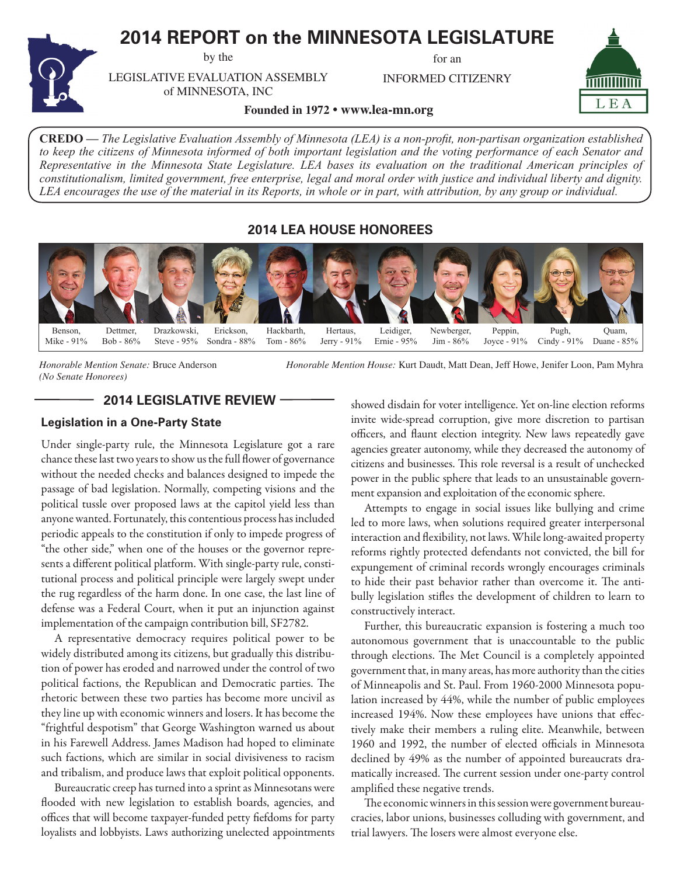# **2014 REPORT on the MINNESOTA LEGISLATURE**

by the

for an

INFORMED CITIZENRY



LEGISLATIVE EVALUATION ASSEMBLY of MINNESOTA, INC

**Founded in 1972 • www.lea-mn.org**

**CREDO —** *The Legislative Evaluation Assembly of Minnesota (LEA) is a non-profit, non-partisan organization established to keep the citizens of Minnesota informed of both important legislation and the voting performance of each Senator and Representative in the Minnesota State Legislature. LEA bases its evaluation on the traditional American principles of constitutionalism, limited government, free enterprise, legal and moral order with justice and individual liberty and dignity. LEA encourages the use of the material in its Reports, in whole or in part, with attribution, by any group or individual.*

**2014 LEA HOUSE HONOREES**



*(No Senate Honorees)*

*Honorable Mention Senate:* Bruce Anderson *Honorable Mention House:* Kurt Daudt, Matt Dean, Jeff Howe, Jenifer Loon, Pam Myhra

# **2014 LEGISLATIVE REVIEW**

# **Legislation in a One-Party State**

Under single-party rule, the Minnesota Legislature got a rare chance these last two years to show us the full flower of governance without the needed checks and balances designed to impede the passage of bad legislation. Normally, competing visions and the political tussle over proposed laws at the capitol yield less than anyone wanted. Fortunately, this contentious process has included periodic appeals to the constitution if only to impede progress of "the other side," when one of the houses or the governor represents a different political platform. With single-party rule, constitutional process and political principle were largely swept under the rug regardless of the harm done. In one case, the last line of defense was a Federal Court, when it put an injunction against implementation of the campaign contribution bill, SF2782.

A representative democracy requires political power to be widely distributed among its citizens, but gradually this distribution of power has eroded and narrowed under the control of two political factions, the Republican and Democratic parties. The rhetoric between these two parties has become more uncivil as they line up with economic winners and losers. It has become the "frightful despotism" that George Washington warned us about in his Farewell Address. James Madison had hoped to eliminate such factions, which are similar in social divisiveness to racism and tribalism, and produce laws that exploit political opponents.

Bureaucratic creep has turned into a sprint as Minnesotans were flooded with new legislation to establish boards, agencies, and offices that will become taxpayer-funded petty fiefdoms for party loyalists and lobbyists. Laws authorizing unelected appointments

showed disdain for voter intelligence. Yet on-line election reforms invite wide-spread corruption, give more discretion to partisan officers, and flaunt election integrity. New laws repeatedly gave agencies greater autonomy, while they decreased the autonomy of citizens and businesses. This role reversal is a result of unchecked power in the public sphere that leads to an unsustainable government expansion and exploitation of the economic sphere.

Attempts to engage in social issues like bullying and crime led to more laws, when solutions required greater interpersonal interaction and flexibility, not laws. While long-awaited property reforms rightly protected defendants not convicted, the bill for expungement of criminal records wrongly encourages criminals to hide their past behavior rather than overcome it. The antibully legislation stifles the development of children to learn to constructively interact.

Further, this bureaucratic expansion is fostering a much too autonomous government that is unaccountable to the public through elections. The Met Council is a completely appointed government that, in many areas, has more authority than the cities of Minneapolis and St. Paul. From 1960-2000 Minnesota population increased by 44%, while the number of public employees increased 194%. Now these employees have unions that effectively make their members a ruling elite. Meanwhile, between 1960 and 1992, the number of elected officials in Minnesota declined by 49% as the number of appointed bureaucrats dramatically increased. The current session under one-party control amplified these negative trends.

The economic winners in this session were government bureaucracies, labor unions, businesses colluding with government, and trial lawyers. The losers were almost everyone else.

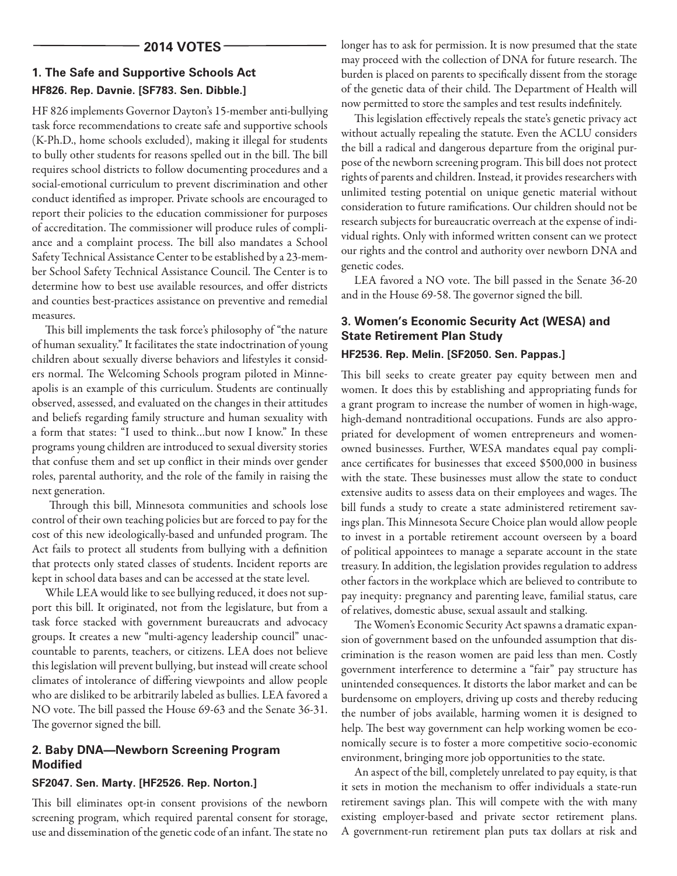# **1. The Safe and Supportive Schools Act**

# **HF826. Rep. Davnie. [SF783. Sen. Dibble.]**

HF 826 implements Governor Dayton's 15-member anti-bullying task force recommendations to create safe and supportive schools (K-Ph.D., home schools excluded), making it illegal for students to bully other students for reasons spelled out in the bill. The bill requires school districts to follow documenting procedures and a social-emotional curriculum to prevent discrimination and other conduct identified as improper. Private schools are encouraged to report their policies to the education commissioner for purposes of accreditation. The commissioner will produce rules of compliance and a complaint process. The bill also mandates a School Safety Technical Assistance Center to be established by a 23-member School Safety Technical Assistance Council. The Center is to determine how to best use available resources, and offer districts and counties best-practices assistance on preventive and remedial measures.

This bill implements the task force's philosophy of "the nature of human sexuality." It facilitates the state indoctrination of young children about sexually diverse behaviors and lifestyles it considers normal. The Welcoming Schools program piloted in Minneapolis is an example of this curriculum. Students are continually observed, assessed, and evaluated on the changes in their attitudes and beliefs regarding family structure and human sexuality with a form that states: "I used to think…but now I know." In these programs young children are introduced to sexual diversity stories that confuse them and set up conflict in their minds over gender roles, parental authority, and the role of the family in raising the next generation.

 Through this bill, Minnesota communities and schools lose control of their own teaching policies but are forced to pay for the cost of this new ideologically-based and unfunded program. The Act fails to protect all students from bullying with a definition that protects only stated classes of students. Incident reports are kept in school data bases and can be accessed at the state level.

While LEA would like to see bullying reduced, it does not support this bill. It originated, not from the legislature, but from a task force stacked with government bureaucrats and advocacy groups. It creates a new "multi-agency leadership council" unaccountable to parents, teachers, or citizens. LEA does not believe this legislation will prevent bullying, but instead will create school climates of intolerance of differing viewpoints and allow people who are disliked to be arbitrarily labeled as bullies. LEA favored a NO vote. The bill passed the House 69-63 and the Senate 36-31. The governor signed the bill.

### **2. Baby DNA—Newborn Screening Program Modified**

## **SF2047. Sen. Marty. [HF2526. Rep. Norton.]**

This bill eliminates opt-in consent provisions of the newborn screening program, which required parental consent for storage, use and dissemination of the genetic code of an infant. The state no longer has to ask for permission. It is now presumed that the state may proceed with the collection of DNA for future research. The burden is placed on parents to specifically dissent from the storage of the genetic data of their child. The Department of Health will now permitted to store the samples and test results indefinitely.

This legislation effectively repeals the state's genetic privacy act without actually repealing the statute. Even the ACLU considers the bill a radical and dangerous departure from the original purpose of the newborn screening program. This bill does not protect rights of parents and children. Instead, it provides researchers with unlimited testing potential on unique genetic material without consideration to future ramifications. Our children should not be research subjects for bureaucratic overreach at the expense of individual rights. Only with informed written consent can we protect our rights and the control and authority over newborn DNA and genetic codes.

LEA favored a NO vote. The bill passed in the Senate 36-20 and in the House 69-58. The governor signed the bill.

# **3. Women's Economic Security Act (WESA) and State Retirement Plan Study**

## **HF2536. Rep. Melin. [SF2050. Sen. Pappas.]**

This bill seeks to create greater pay equity between men and women. It does this by establishing and appropriating funds for a grant program to increase the number of women in high-wage, high-demand nontraditional occupations. Funds are also appropriated for development of women entrepreneurs and womenowned businesses. Further, WESA mandates equal pay compliance certificates for businesses that exceed \$500,000 in business with the state. These businesses must allow the state to conduct extensive audits to assess data on their employees and wages. The bill funds a study to create a state administered retirement savings plan. This Minnesota Secure Choice plan would allow people to invest in a portable retirement account overseen by a board of political appointees to manage a separate account in the state treasury. In addition, the legislation provides regulation to address other factors in the workplace which are believed to contribute to pay inequity: pregnancy and parenting leave, familial status, care of relatives, domestic abuse, sexual assault and stalking.

The Women's Economic Security Act spawns a dramatic expansion of government based on the unfounded assumption that discrimination is the reason women are paid less than men. Costly government interference to determine a "fair" pay structure has unintended consequences. It distorts the labor market and can be burdensome on employers, driving up costs and thereby reducing the number of jobs available, harming women it is designed to help. The best way government can help working women be economically secure is to foster a more competitive socio-economic environment, bringing more job opportunities to the state.

An aspect of the bill, completely unrelated to pay equity, is that it sets in motion the mechanism to offer individuals a state-run retirement savings plan. This will compete with the with many existing employer-based and private sector retirement plans. A government-run retirement plan puts tax dollars at risk and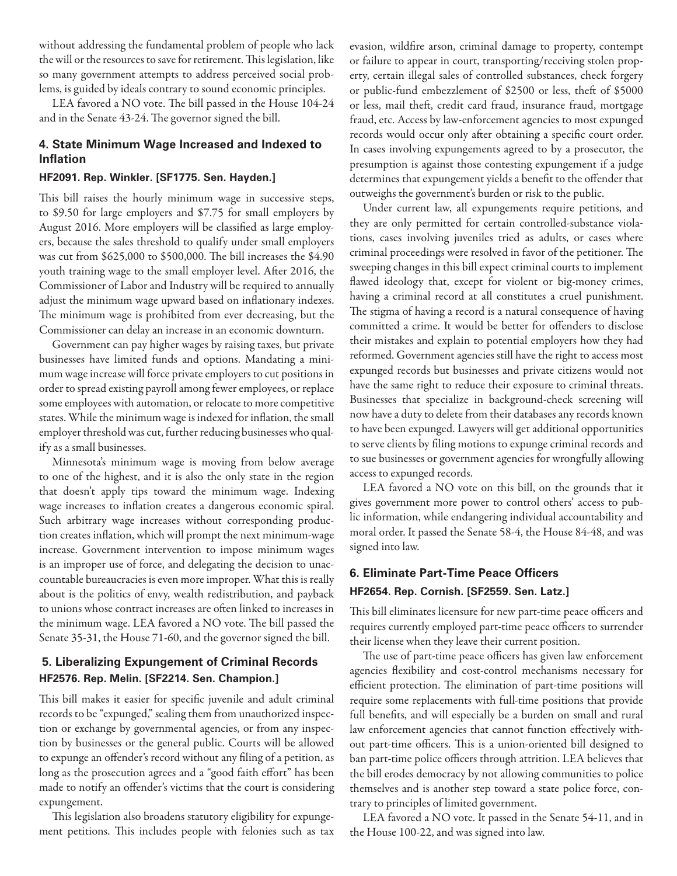without addressing the fundamental problem of people who lack the will or the resources to save for retirement. This legislation, like so many government attempts to address perceived social problems, is guided by ideals contrary to sound economic principles.

LEA favored a NO vote. The bill passed in the House 104-24 and in the Senate 43-24. The governor signed the bill.

### **4. State Minimum Wage Increased and Indexed to Inflation**

#### **HF2091. Rep. Winkler. [SF1775. Sen. Hayden.]**

This bill raises the hourly minimum wage in successive steps, to \$9.50 for large employers and \$7.75 for small employers by August 2016. More employers will be classified as large employers, because the sales threshold to qualify under small employers was cut from \$625,000 to \$500,000. The bill increases the \$4.90 youth training wage to the small employer level. After 2016, the Commissioner of Labor and Industry will be required to annually adjust the minimum wage upward based on inflationary indexes. The minimum wage is prohibited from ever decreasing, but the Commissioner can delay an increase in an economic downturn.

Government can pay higher wages by raising taxes, but private businesses have limited funds and options. Mandating a minimum wage increase will force private employers to cut positions in order to spread existing payroll among fewer employees, or replace some employees with automation, or relocate to more competitive states. While the minimum wage is indexed for inflation, the small employer threshold was cut, further reducing businesses who qualify as a small businesses.

Minnesota's minimum wage is moving from below average to one of the highest, and it is also the only state in the region that doesn't apply tips toward the minimum wage. Indexing wage increases to inflation creates a dangerous economic spiral. Such arbitrary wage increases without corresponding production creates inflation, which will prompt the next minimum-wage increase. Government intervention to impose minimum wages is an improper use of force, and delegating the decision to unaccountable bureaucracies is even more improper. What this is really about is the politics of envy, wealth redistribution, and payback to unions whose contract increases are often linked to increases in the minimum wage. LEA favored a NO vote. The bill passed the Senate 35-31, the House 71-60, and the governor signed the bill.

# **5. Liberalizing Expungement of Criminal Records HF2576. Rep. Melin. [SF2214. Sen. Champion.]**

This bill makes it easier for specific juvenile and adult criminal records to be "expunged," sealing them from unauthorized inspection or exchange by governmental agencies, or from any inspection by businesses or the general public. Courts will be allowed to expunge an offender's record without any filing of a petition, as long as the prosecution agrees and a "good faith effort" has been made to notify an offender's victims that the court is considering expungement.

This legislation also broadens statutory eligibility for expungement petitions. This includes people with felonies such as tax evasion, wildfire arson, criminal damage to property, contempt or failure to appear in court, transporting/receiving stolen property, certain illegal sales of controlled substances, check forgery or public-fund embezzlement of \$2500 or less, theft of \$5000 or less, mail theft, credit card fraud, insurance fraud, mortgage fraud, etc. Access by law-enforcement agencies to most expunged records would occur only after obtaining a specific court order. In cases involving expungements agreed to by a prosecutor, the presumption is against those contesting expungement if a judge determines that expungement yields a benefit to the offender that outweighs the government's burden or risk to the public.

Under current law, all expungements require petitions, and they are only permitted for certain controlled-substance violations, cases involving juveniles tried as adults, or cases where criminal proceedings were resolved in favor of the petitioner. The sweeping changes in this bill expect criminal courts to implement flawed ideology that, except for violent or big-money crimes, having a criminal record at all constitutes a cruel punishment. The stigma of having a record is a natural consequence of having committed a crime. It would be better for offenders to disclose their mistakes and explain to potential employers how they had reformed. Government agencies still have the right to access most expunged records but businesses and private citizens would not have the same right to reduce their exposure to criminal threats. Businesses that specialize in background-check screening will now have a duty to delete from their databases any records known to have been expunged. Lawyers will get additional opportunities to serve clients by filing motions to expunge criminal records and to sue businesses or government agencies for wrongfully allowing access to expunged records.

LEA favored a NO vote on this bill, on the grounds that it gives government more power to control others' access to public information, while endangering individual accountability and moral order. It passed the Senate 58-4, the House 84-48, and was signed into law.

# **6. Eliminate Part-Time Peace Officers HF2654. Rep. Cornish. [SF2559. Sen. Latz.]**

This bill eliminates licensure for new part-time peace officers and requires currently employed part-time peace officers to surrender their license when they leave their current position.

The use of part-time peace officers has given law enforcement agencies flexibility and cost-control mechanisms necessary for efficient protection. The elimination of part-time positions will require some replacements with full-time positions that provide full benefits, and will especially be a burden on small and rural law enforcement agencies that cannot function effectively without part-time officers. This is a union-oriented bill designed to ban part-time police officers through attrition. LEA believes that the bill erodes democracy by not allowing communities to police themselves and is another step toward a state police force, contrary to principles of limited government.

LEA favored a NO vote. It passed in the Senate 54-11, and in the House 100-22, and was signed into law.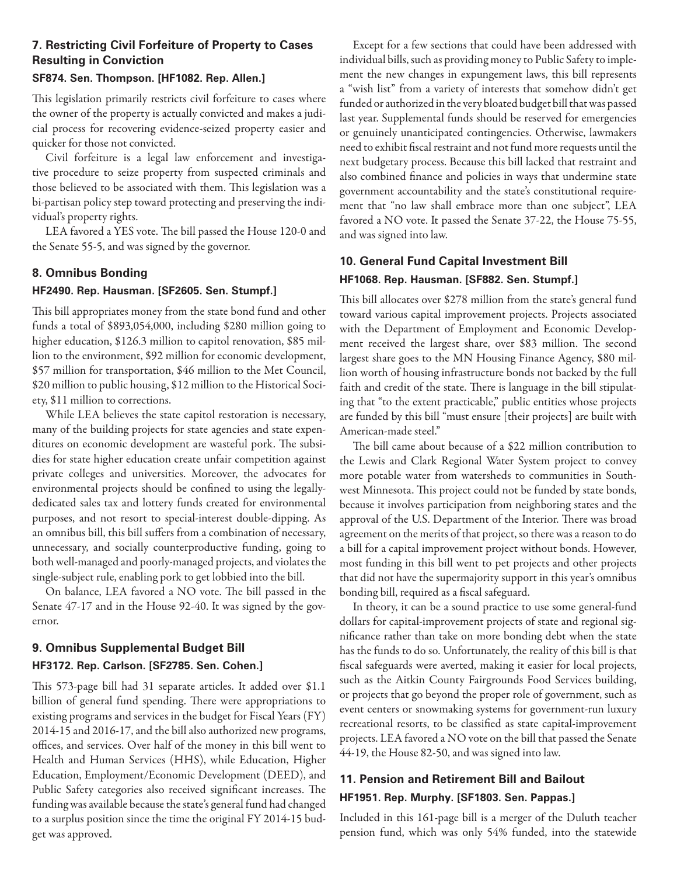## **7. Restricting Civil Forfeiture of Property to Cases Resulting in Conviction**

#### **SF874. Sen. Thompson. [HF1082. Rep. Allen.]**

This legislation primarily restricts civil forfeiture to cases where the owner of the property is actually convicted and makes a judicial process for recovering evidence-seized property easier and quicker for those not convicted.

Civil forfeiture is a legal law enforcement and investigative procedure to seize property from suspected criminals and those believed to be associated with them. This legislation was a bi-partisan policy step toward protecting and preserving the individual's property rights.

LEA favored a YES vote. The bill passed the House 120-0 and the Senate 55-5, and was signed by the governor.

## **8. Omnibus Bonding**

### **HF2490. Rep. Hausman. [SF2605. Sen. Stumpf.]**

This bill appropriates money from the state bond fund and other funds a total of \$893,054,000, including \$280 million going to higher education, \$126.3 million to capitol renovation, \$85 million to the environment, \$92 million for economic development, \$57 million for transportation, \$46 million to the Met Council, \$20 million to public housing, \$12 million to the Historical Society, \$11 million to corrections.

While LEA believes the state capitol restoration is necessary, many of the building projects for state agencies and state expenditures on economic development are wasteful pork. The subsidies for state higher education create unfair competition against private colleges and universities. Moreover, the advocates for environmental projects should be confined to using the legallydedicated sales tax and lottery funds created for environmental purposes, and not resort to special-interest double-dipping. As an omnibus bill, this bill suffers from a combination of necessary, unnecessary, and socially counterproductive funding, going to both well-managed and poorly-managed projects, and violates the single-subject rule, enabling pork to get lobbied into the bill.

On balance, LEA favored a NO vote. The bill passed in the Senate 47-17 and in the House 92-40. It was signed by the governor.

# **9. Omnibus Supplemental Budget Bill HF3172. Rep. Carlson. [SF2785. Sen. Cohen.]**

This 573-page bill had 31 separate articles. It added over \$1.1 billion of general fund spending. There were appropriations to existing programs and services in the budget for Fiscal Years (FY) 2014-15 and 2016-17, and the bill also authorized new programs, offices, and services. Over half of the money in this bill went to Health and Human Services (HHS), while Education, Higher Education, Employment/Economic Development (DEED), and Public Safety categories also received significant increases. The funding was available because the state's general fund had changed to a surplus position since the time the original FY 2014-15 budget was approved.

Except for a few sections that could have been addressed with individual bills, such as providing money to Public Safety to implement the new changes in expungement laws, this bill represents a "wish list" from a variety of interests that somehow didn't get funded or authorized in the very bloated budget bill that was passed last year. Supplemental funds should be reserved for emergencies or genuinely unanticipated contingencies. Otherwise, lawmakers need to exhibit fiscal restraint and not fund more requests until the next budgetary process. Because this bill lacked that restraint and also combined finance and policies in ways that undermine state government accountability and the state's constitutional requirement that "no law shall embrace more than one subject", LEA favored a NO vote. It passed the Senate 37-22, the House 75-55, and was signed into law.

# **10. General Fund Capital Investment Bill HF1068. Rep. Hausman. [SF882. Sen. Stumpf.]**

This bill allocates over \$278 million from the state's general fund toward various capital improvement projects. Projects associated with the Department of Employment and Economic Development received the largest share, over \$83 million. The second largest share goes to the MN Housing Finance Agency, \$80 million worth of housing infrastructure bonds not backed by the full faith and credit of the state. There is language in the bill stipulating that "to the extent practicable," public entities whose projects are funded by this bill "must ensure [their projects] are built with American-made steel."

The bill came about because of a \$22 million contribution to the Lewis and Clark Regional Water System project to convey more potable water from watersheds to communities in Southwest Minnesota. This project could not be funded by state bonds, because it involves participation from neighboring states and the approval of the U.S. Department of the Interior. There was broad agreement on the merits of that project, so there was a reason to do a bill for a capital improvement project without bonds. However, most funding in this bill went to pet projects and other projects that did not have the supermajority support in this year's omnibus bonding bill, required as a fiscal safeguard.

In theory, it can be a sound practice to use some general-fund dollars for capital-improvement projects of state and regional significance rather than take on more bonding debt when the state has the funds to do so. Unfortunately, the reality of this bill is that fiscal safeguards were averted, making it easier for local projects, such as the Aitkin County Fairgrounds Food Services building, or projects that go beyond the proper role of government, such as event centers or snowmaking systems for government-run luxury recreational resorts, to be classified as state capital-improvement projects. LEA favored a NO vote on the bill that passed the Senate 44-19, the House 82-50, and was signed into law.

# **11. Pension and Retirement Bill and Bailout HF1951. Rep. Murphy. [SF1803. Sen. Pappas.]**

Included in this 161-page bill is a merger of the Duluth teacher pension fund, which was only 54% funded, into the statewide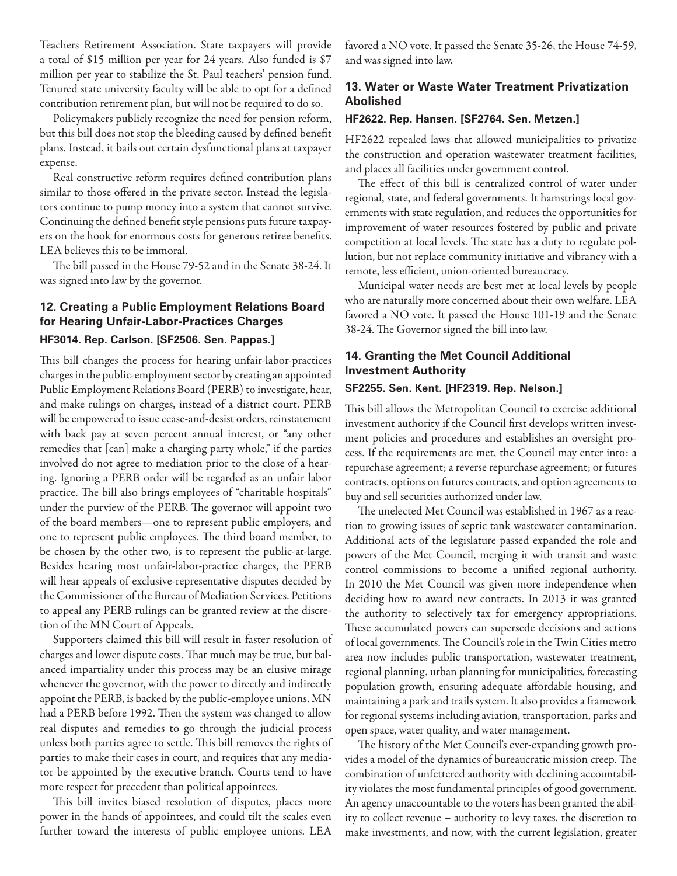Teachers Retirement Association. State taxpayers will provide a total of \$15 million per year for 24 years. Also funded is \$7 million per year to stabilize the St. Paul teachers' pension fund. Tenured state university faculty will be able to opt for a defined contribution retirement plan, but will not be required to do so.

Policymakers publicly recognize the need for pension reform, but this bill does not stop the bleeding caused by defined benefit plans. Instead, it bails out certain dysfunctional plans at taxpayer expense.

Real constructive reform requires defined contribution plans similar to those offered in the private sector. Instead the legislators continue to pump money into a system that cannot survive. Continuing the defined benefit style pensions puts future taxpayers on the hook for enormous costs for generous retiree benefits. LEA believes this to be immoral.

The bill passed in the House 79-52 and in the Senate 38-24. It was signed into law by the governor.

## **12. Creating a Public Employment Relations Board for Hearing Unfair-Labor-Practices Charges HF3014. Rep. Carlson. [SF2506. Sen. Pappas.]**

This bill changes the process for hearing unfair-labor-practices charges in the public-employment sector by creating an appointed Public Employment Relations Board (PERB) to investigate, hear, and make rulings on charges, instead of a district court. PERB will be empowered to issue cease-and-desist orders, reinstatement with back pay at seven percent annual interest, or "any other remedies that [can] make a charging party whole," if the parties involved do not agree to mediation prior to the close of a hearing. Ignoring a PERB order will be regarded as an unfair labor practice. The bill also brings employees of "charitable hospitals" under the purview of the PERB. The governor will appoint two of the board members—one to represent public employers, and one to represent public employees. The third board member, to be chosen by the other two, is to represent the public-at-large. Besides hearing most unfair-labor-practice charges, the PERB will hear appeals of exclusive-representative disputes decided by the Commissioner of the Bureau of Mediation Services. Petitions to appeal any PERB rulings can be granted review at the discretion of the MN Court of Appeals.

Supporters claimed this bill will result in faster resolution of charges and lower dispute costs. That much may be true, but balanced impartiality under this process may be an elusive mirage whenever the governor, with the power to directly and indirectly appoint the PERB, is backed by the public-employee unions. MN had a PERB before 1992. Then the system was changed to allow real disputes and remedies to go through the judicial process unless both parties agree to settle. This bill removes the rights of parties to make their cases in court, and requires that any mediator be appointed by the executive branch. Courts tend to have more respect for precedent than political appointees.

This bill invites biased resolution of disputes, places more power in the hands of appointees, and could tilt the scales even further toward the interests of public employee unions. LEA favored a NO vote. It passed the Senate 35-26, the House 74-59, and was signed into law.

## **13. Water or Waste Water Treatment Privatization Abolished**

#### **HF2622. Rep. Hansen. [SF2764. Sen. Metzen.]**

HF2622 repealed laws that allowed municipalities to privatize the construction and operation wastewater treatment facilities, and places all facilities under government control.

The effect of this bill is centralized control of water under regional, state, and federal governments. It hamstrings local governments with state regulation, and reduces the opportunities for improvement of water resources fostered by public and private competition at local levels. The state has a duty to regulate pollution, but not replace community initiative and vibrancy with a remote, less efficient, union-oriented bureaucracy.

Municipal water needs are best met at local levels by people who are naturally more concerned about their own welfare. LEA favored a NO vote. It passed the House 101-19 and the Senate 38-24. The Governor signed the bill into law.

## **14. Granting the Met Council Additional Investment Authority**

#### **SF2255. Sen. Kent. [HF2319. Rep. Nelson.]**

This bill allows the Metropolitan Council to exercise additional investment authority if the Council first develops written investment policies and procedures and establishes an oversight process. If the requirements are met, the Council may enter into: a repurchase agreement; a reverse repurchase agreement; or futures contracts, options on futures contracts, and option agreements to buy and sell securities authorized under law.

The unelected Met Council was established in 1967 as a reaction to growing issues of septic tank wastewater contamination. Additional acts of the legislature passed expanded the role and powers of the Met Council, merging it with transit and waste control commissions to become a unified regional authority. In 2010 the Met Council was given more independence when deciding how to award new contracts. In 2013 it was granted the authority to selectively tax for emergency appropriations. These accumulated powers can supersede decisions and actions of local governments. The Council's role in the Twin Cities metro area now includes public transportation, wastewater treatment, regional planning, urban planning for municipalities, forecasting population growth, ensuring adequate affordable housing, and maintaining a park and trails system. It also provides a framework for regional systems including aviation, transportation, parks and open space, water quality, and water management.

The history of the Met Council's ever-expanding growth provides a model of the dynamics of bureaucratic mission creep. The combination of unfettered authority with declining accountability violates the most fundamental principles of good government. An agency unaccountable to the voters has been granted the ability to collect revenue – authority to levy taxes, the discretion to make investments, and now, with the current legislation, greater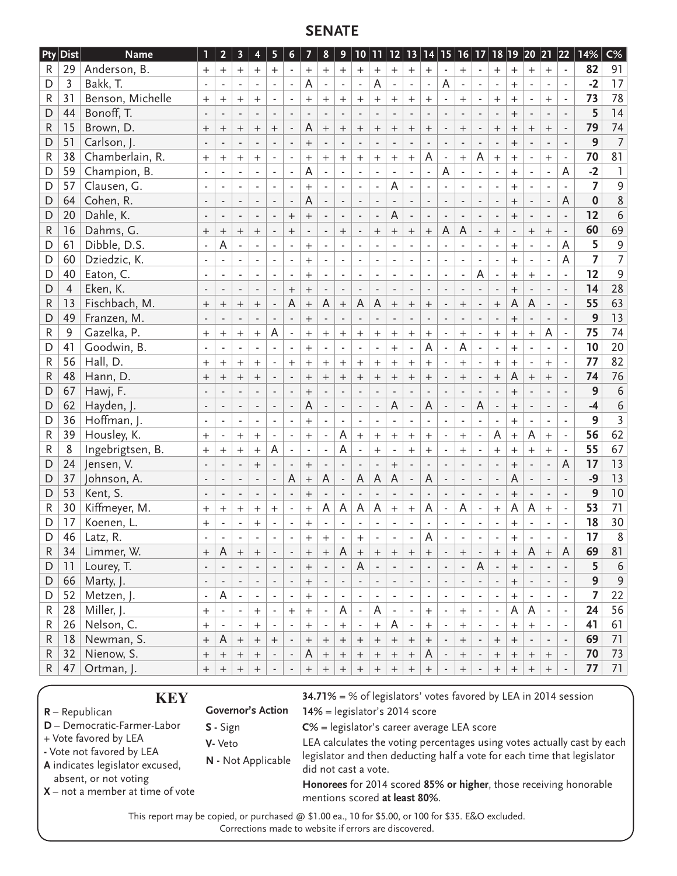# **SENATE**

| <b>Pty</b>   | $\mathsf{Dist}$ | <b>Name</b>      | ı                        | $\overline{2}$           | 3                        | $\overline{\mathbf{4}}$     | 5                        | $\boldsymbol{6}$         | $\overline{\mathbf{z}}$          | $\pmb{8}$                | 9                        |                             |                          |                          |                          |                          |                          | $10 11 12 13 14 15 16 17 $ |                          |                          |                                  |                          | 18  19  20  21  22       |                          | 14%             | $C\%$            |
|--------------|-----------------|------------------|--------------------------|--------------------------|--------------------------|-----------------------------|--------------------------|--------------------------|----------------------------------|--------------------------|--------------------------|-----------------------------|--------------------------|--------------------------|--------------------------|--------------------------|--------------------------|----------------------------|--------------------------|--------------------------|----------------------------------|--------------------------|--------------------------|--------------------------|-----------------|------------------|
| R            | 29              | Anderson, B.     | $^{+}$                   | $^{+}$                   | $^{+}$                   | $^{+}$                      | $^{+}$                   |                          | $\begin{array}{c} + \end{array}$ | $^{+}$                   | $+$                      | $\ddot{}$                   | $^{+}$                   | $\qquad \qquad +$        | $\! +$                   | $^{+}$                   |                          | $\overline{+}$             |                          | $\qquad \qquad +$        | $\begin{array}{c} + \end{array}$ | $+$                      | $+$                      |                          | 82              | 91               |
| D            | 3               | Bakk, T.         |                          |                          |                          |                             |                          | $\overline{\phantom{a}}$ | A                                |                          | $\blacksquare$           |                             | А                        |                          |                          | $\overline{\phantom{a}}$ | A                        | $\blacksquare$             |                          | $\overline{\phantom{a}}$ | $^{+}$                           |                          | $\blacksquare$           | ÷,                       | $-2$            | 17               |
| R            | 31              | Benson, Michelle | $^{+}$                   | $^+$                     | $+$                      | $^{+}$                      |                          |                          | $^{+}$                           | $^{+}$                   | $^{+}$                   | $^{+}$                      | $^{+}$                   | $+$                      | $^{+}$                   | $^{+}$                   |                          | $^{+}$                     |                          | $^{+}$                   | $+$                              |                          | $+$                      | $\blacksquare$           | 73              | 78               |
| D            | 44              | Bonoff, T.       |                          |                          |                          |                             |                          |                          |                                  |                          |                          |                             |                          |                          |                          |                          |                          |                            |                          |                          | $\ddot{}$                        |                          |                          |                          | 5               | 14               |
| $\mathsf{R}$ | 15              | Brown, D.        |                          | $^{+}$                   | $^{+}$                   | $\qquad \qquad +$           | $^{+}$                   | $\blacksquare$           | A                                | $\boldsymbol{+}$         | $^{+}$                   | $^{+}$                      | $\ddot{}$                | $\ddot{}$                | $^{+}$                   | $^{+}$                   | $\overline{\phantom{a}}$ | $^{+}$                     |                          | $^{+}$                   | $^{+}$                           | $\boldsymbol{+}$         | $\ddot{}$                | $\overline{\phantom{a}}$ | 79              | 74               |
| D            | 51              | Carlson, J.      |                          | $\overline{\phantom{m}}$ | $\overline{\phantom{a}}$ |                             |                          |                          | $\! +$                           | $\overline{\phantom{a}}$ | $\blacksquare$           |                             | ÷,                       | l,                       |                          | $\blacksquare$           | $\overline{\phantom{a}}$ |                            |                          |                          | $^{+}$                           | $\overline{a}$           | $\overline{\phantom{a}}$ |                          | 9               | $\overline{7}$   |
| R            | 38              | Chamberlain, R.  | $+$                      | $^{+}$                   | $^{+}$                   | $^{+}$                      | $\overline{\phantom{a}}$ | ä,                       | $+$                              | $^{+}$                   | $^{+}$                   | $+$                         | $\ddot{}$                | $\ddot{}$                | $\ddot{}$                | A                        | $\blacksquare$           | $^{+}$                     | A                        | $^{+}$                   | $+$                              | $\blacksquare$           | $+$                      | ä,                       | 70              | 81               |
| D            | 59              | Champion, B.     | ÷,                       | ä,                       |                          | $\mathbf{r}$                |                          | $\overline{\phantom{a}}$ | A                                |                          | $\blacksquare$           | $\overline{\phantom{a}}$    |                          |                          | L.                       | ä,                       | A                        | ÷.                         |                          | L,                       | $+$                              | ä,                       | ÷,                       | A                        | $-2$            | $\mathbf{I}$     |
| D            | 57              | Clausen, G.      | $\overline{\phantom{a}}$ |                          | $\overline{\phantom{a}}$ |                             |                          | $\overline{\phantom{a}}$ | $\ddot{}$                        |                          |                          |                             |                          | A                        |                          |                          |                          |                            |                          |                          | $\ddot{}$                        |                          |                          |                          | $\overline{z}$  | 9                |
| D            | 64              | Cohen, R.        | $\overline{\phantom{a}}$ | $\blacksquare$           | $\overline{\phantom{a}}$ | $\mathcal{L}_{\mathcal{A}}$ | ÷,                       | $\blacksquare$           | A                                | $\overline{\phantom{a}}$ | $\overline{\phantom{a}}$ | $\sim$                      |                          |                          | $\overline{\phantom{a}}$ | $\overline{\phantom{a}}$ | $\overline{\phantom{a}}$ | $\sim$                     |                          | $\overline{\phantom{a}}$ | $\ddot{}$                        | $\overline{\phantom{a}}$ | $\overline{\phantom{a}}$ | $\overline{A}$           | $\mathbf 0$     | 8                |
| D            | 20              | Dahle, K.        |                          |                          | $\blacksquare$           |                             | ÷,                       | $^{+}$                   |                                  | $\overline{\phantom{a}}$ | ÷,                       |                             | ÷,                       | A                        |                          | $\blacksquare$           | $\overline{\phantom{a}}$ | ÷,                         | ÷,                       | $\blacksquare$           | $^{+}$                           | $\overline{\phantom{a}}$ | $\overline{\phantom{a}}$ |                          | 12              | $\boldsymbol{6}$ |
| R            | 16              | Dahms, G.        | $+$                      | $^{+}$                   | $^{+}$                   | $+$                         | $\overline{\phantom{a}}$ | $+$                      | $\overline{\phantom{a}}$         | $\overline{\phantom{a}}$ | $^{+}$                   | $\overline{\phantom{a}}$    | $\ddot{}$                | $+$                      | $+$                      | $^{+}$                   | A                        | $\mathsf A$                | $\blacksquare$           | $+$                      | $\overline{\phantom{a}}$         | $+$                      | $+$                      | $\overline{\phantom{a}}$ | 60              | 69               |
| D            | 61              | Dibble, D.S.     | ä,                       | A                        |                          | ÷.                          |                          | ÷,                       | $^{+}$                           |                          | ä,                       | $\mathbf{r}$                |                          |                          |                          |                          |                          | ÷.                         |                          | L.                       | $^{+}$                           |                          |                          | A                        | 5               | $\overline{9}$   |
| D            | 60              | Dziedzic, K.     |                          |                          |                          |                             |                          | $\blacksquare$           | $\ddot{}$                        |                          | $\blacksquare$           |                             |                          |                          | $\overline{\phantom{a}}$ |                          |                          |                            |                          |                          | $\ddot{}$                        |                          |                          | $\overline{A}$           | $\overline{7}$  | $\overline{7}$   |
| D            | 40              | Eaton, C.        | $\overline{\phantom{a}}$ | $\blacksquare$           | $\overline{\phantom{a}}$ | $\sim$                      |                          | $\blacksquare$           | $\! + \!$                        | $\overline{\phantom{a}}$ | $\blacksquare$           | $\bar{\phantom{a}}$         | $\blacksquare$           | $\blacksquare$           | $\blacksquare$           | $\overline{\phantom{a}}$ |                          | $\overline{\phantom{a}}$   | A                        |                          | $\! + \!$                        | $+$                      | $\overline{\phantom{a}}$ | ÷,                       | 12              | $\overline{9}$   |
| D            | $\overline{4}$  | Eken, K.         |                          |                          | ÷                        |                             |                          | $\boldsymbol{+}$         | $\qquad \qquad +$                | $\overline{\phantom{a}}$ | ÷                        | $\blacksquare$              | $\blacksquare$           | $\blacksquare$           | $\blacksquare$           | $\overline{\phantom{a}}$ |                          | $\overline{\phantom{a}}$   |                          | $\overline{\phantom{a}}$ | $^{+}$                           |                          | $\blacksquare$           |                          | 14              | 28               |
| $\mathsf{R}$ | 13              | Fischbach, M.    | $^{+}$                   | $^{+}$                   | $^{+}$                   |                             | $\overline{\phantom{a}}$ | A                        | $+$                              | A                        | $+$                      | $\mathsf A$                 | A                        | $\ddot{}$                | $^{+}$                   | $+$                      | $\overline{\phantom{a}}$ | $^{+}$                     | $\overline{\phantom{a}}$ | $^{+}$                   | $\overline{A}$                   | A                        | $\overline{\phantom{a}}$ | $\overline{\phantom{a}}$ | 55              | 63               |
| D            | 49              | Franzen, M.      |                          |                          |                          |                             |                          |                          | $^{+}$                           | $\blacksquare$           |                          |                             |                          |                          |                          |                          |                          |                            |                          |                          | $^{+}$                           | $\blacksquare$           |                          |                          | 9               | $\overline{13}$  |
| $\mathsf{R}$ | $\mathsf 9$     | Gazelka, P.      | $^{+}$                   | $^{+}$                   | $^{+}$                   | $\overline{+}$              | A                        | $\blacksquare$           | $\! + \!$                        | $+$                      | $^{+}$                   | $^{+}$                      | $\ddot{}$                | $\ddot{}$                | $\ddot{}$                | $\boldsymbol{+}$         |                          | $\overline{+}$             |                          | $^{+}$                   | $\ddot{+}$                       | $\ddot{}$                | A                        | $\blacksquare$           | 75              | 74               |
| D            | 41              | Goodwin, B.      | $\blacksquare$           |                          | $\overline{\phantom{a}}$ | $\overline{\phantom{a}}$    | $\blacksquare$           | $\blacksquare$           | $^{+}$                           | $\overline{\phantom{a}}$ | $\blacksquare$           | $\sim$                      | $\overline{\phantom{a}}$ | $+$                      | $\blacksquare$           | $\overline{A}$           | $\blacksquare$           | $\overline{A}$             |                          | $\overline{\phantom{a}}$ | $^{+}$                           | $\blacksquare$           | $\overline{\phantom{a}}$ | $\blacksquare$           | 10              | 20               |
| R            | 56              | Hall, D.         | $^{+}$                   | $^{+}$                   | $^{+}$                   | $^{+}$                      |                          | $+$                      | $\boldsymbol{+}$                 | $^{+}$                   | $^{+}$                   | $^{+}$                      | $^{+}$                   | $^{+}$                   | $+$                      | $^{+}$                   |                          | $+$                        |                          | $^{+}$                   | $^{+}$                           | $\overline{\phantom{a}}$ | $^{+}$                   | ÷,                       | 77              | 82               |
| R            | 48              | Hann, D.         | $+$                      | $^{+}$                   | $^{+}$                   | $+$                         | $\overline{\phantom{a}}$ | $\overline{\phantom{a}}$ | $+$                              | $^{+}$                   | $^{+}$                   | $\boldsymbol{+}$            | $\qquad \qquad +$        |                          | $+$                      | $+$                      | $\blacksquare$           | $\boldsymbol{+}$           | $\blacksquare$           |                          | A                                |                          | $+$                      | $\overline{\phantom{a}}$ | 74              | 76               |
| D            | 67              | Hawj, F.         |                          |                          |                          |                             |                          | $\frac{1}{2}$            | $^{+}$                           |                          |                          |                             |                          |                          |                          |                          |                          |                            |                          |                          | $^{+}$                           |                          |                          |                          | 9               | $\sqrt{6}$       |
| D            | 62              | Hayden, J.       | $\blacksquare$           |                          | $\overline{\phantom{a}}$ | $\overline{\phantom{a}}$    |                          | $\blacksquare$           | A                                |                          | $\overline{\phantom{a}}$ |                             |                          | A                        | $\overline{\phantom{a}}$ | A                        |                          | $\blacksquare$             | A                        | $\overline{\phantom{a}}$ | $\ddot{}$                        |                          | $\overline{\phantom{a}}$ |                          | $-4$            | $\overline{6}$   |
| D            | 36              | Hoffman, J.      | $\overline{\phantom{a}}$ | $\blacksquare$           | $\overline{\phantom{a}}$ | $\overline{\phantom{a}}$    |                          |                          | $^{+}$                           |                          | $\blacksquare$           | $\overline{\phantom{a}}$    | ä,                       | $\blacksquare$           | $\overline{\phantom{a}}$ |                          | $\overline{\phantom{a}}$ | $\overline{\phantom{a}}$   |                          |                          | $+$                              |                          | $\blacksquare$           | ÷,                       | 9               | $\overline{3}$   |
| $\mathsf{R}$ | 39              | Housley, K.      | $+$                      |                          | $^{+}$                   | $+$                         | $\blacksquare$           | ÷,                       | $\ddot{}$                        | $\overline{\phantom{a}}$ | A                        | $\ddot{}$                   | $^{+}$                   | $+$                      | $\ddot{}$                | $^{+}$                   | ä,                       | $^{+}$                     |                          | A                        | $\ddot{}$                        | A                        | $^{+}$                   |                          | 56              | 62               |
| R            | 8               | Ingebrigtsen, B. | $\boldsymbol{+}$         | $^{+}$                   | $^{+}$                   | $^{+}$                      | A                        | $\overline{\phantom{a}}$ | $\blacksquare$                   | $\overline{\phantom{a}}$ | A                        | $\mathcal{L}_{\mathcal{A}}$ | $^{+}$                   | $\overline{\phantom{a}}$ | $+$                      | $^{+}$                   | $\overline{\phantom{a}}$ | $^{+}$                     |                          | $^{+}$                   | $\boldsymbol{+}$                 | $^{+}$                   | $^{+}$                   | $\overline{\phantom{a}}$ | 55              | 67               |
| D            | 24              | Jensen, V.       |                          |                          |                          | $^{+}$                      | $\overline{a}$           | ÷,                       | $^{+}$                           |                          |                          |                             | $\overline{a}$           | $+$                      | $\overline{a}$           |                          |                          | ÷,                         |                          |                          | $^{+}$                           |                          | $\overline{a}$           | A                        | 17              | 13               |
| D            | 37              | Johnson, A.      | $\overline{\phantom{a}}$ |                          | $\overline{\phantom{a}}$ | $\overline{\phantom{a}}$    | $\blacksquare$           | A                        | $\ddot{}$                        | A                        | $\overline{\phantom{a}}$ | A                           | A                        | A                        | $\overline{\phantom{a}}$ | A                        | $\overline{\phantom{a}}$ | $\blacksquare$             |                          | $\overline{\phantom{a}}$ | $\overline{A}$                   |                          | $\overline{\phantom{a}}$ |                          | $-9$            | 13               |
| D            | 53              | Kent, S.         |                          |                          | $\blacksquare$           | $\overline{\phantom{a}}$    | $\overline{\phantom{a}}$ | $\overline{\phantom{a}}$ |                                  | $\overline{\phantom{a}}$ | $\overline{\phantom{a}}$ | $\overline{\phantom{a}}$    | $\overline{\phantom{a}}$ | $\overline{\phantom{a}}$ |                          |                          |                          | $\overline{\phantom{a}}$   | $\overline{\phantom{a}}$ | $\overline{\phantom{a}}$ | $\! + \!$                        | $\overline{\phantom{a}}$ | $\overline{\phantom{a}}$ | $\blacksquare$           | 9               | 10               |
| R            | 30              | Kiffmeyer, M.    | $^{+}$                   | $^{+}$                   | $^{+}$                   | $^{+}$                      | $^{+}$                   | $\blacksquare$           | $\qquad \qquad +$                | A                        | A                        | A                           | A                        | $^{+}$                   | $\ddot{}$                | A                        | $\blacksquare$           | A                          |                          | $\ddot{}$                | A                                | A                        | $\ddot{}$                | i,                       | 53              | 71               |
| D            | 17              | Koenen, L.       | $^{+}$                   | $\blacksquare$           | ٠                        | $^{+}$                      | $\blacksquare$           | $\overline{\phantom{a}}$ | $^{+}$                           | $\overline{\phantom{a}}$ | $\overline{\phantom{a}}$ | $\sim$                      |                          | $\overline{\phantom{a}}$ | ٠.                       | $\overline{\phantom{a}}$ | $\blacksquare$           | $\blacksquare$             |                          | $\overline{\phantom{a}}$ | $\qquad \qquad +$                | $\overline{\phantom{a}}$ | $\overline{\phantom{a}}$ | $\blacksquare$           | 18              | 30               |
| D            | 46              | Latz, R.         |                          |                          |                          |                             |                          |                          | $^{+}$                           | $\, +$                   |                          | $^{+}$                      |                          |                          |                          | A                        |                          |                            |                          |                          | $^{+}$                           |                          |                          |                          | $\overline{17}$ | 8                |
| R            | 34              | Limmer, W.       | $\! + \!\!\!\!$          | A                        | $^{+}$                   | $\! +$                      |                          | $\overline{\phantom{a}}$ | $\! + \!\!\!\!$                  | $^+$                     | A                        | $\! +$                      | $^+$                     | $^{+}$                   | $\mathrm{+}$             | $^+$                     |                          | $^{+}$                     |                          | $^{+}$                   | $^{+}$                           | A                        | $^{+}$                   | A                        | 69              | 81               |
| D            | 11              | Lourey, T.       |                          |                          |                          |                             |                          |                          | $\boldsymbol{+}$                 | $\overline{\phantom{a}}$ |                          | A                           |                          |                          |                          |                          |                          |                            | A                        |                          | $^+$                             |                          |                          |                          | 5               | $\boldsymbol{6}$ |
| D            | 66              | Marty, J.        | $\overline{\phantom{a}}$ | $\overline{\phantom{a}}$ | ٠                        | $\overline{\phantom{a}}$    | $\overline{\phantom{a}}$ | $\overline{\phantom{a}}$ | $\boldsymbol{+}$                 | $\overline{\phantom{a}}$ | $\overline{\phantom{a}}$ | $\overline{\phantom{a}}$    | $\overline{\phantom{a}}$ | $\overline{\phantom{a}}$ | $\overline{\phantom{a}}$ | $\overline{\phantom{a}}$ | $\overline{\phantom{a}}$ | $\overline{\phantom{a}}$   | $\overline{\phantom{a}}$ | $\overline{\phantom{a}}$ | $\boldsymbol{+}$                 | $\overline{\phantom{a}}$ | $\overline{\phantom{a}}$ | $\Box$                   | 9               | $\mathsf 9$      |
| D            | 52              | Metzen, J.       | $\blacksquare$           | A                        | $\overline{\phantom{a}}$ | $\blacksquare$              | $\overline{\phantom{a}}$ | $\overline{\phantom{a}}$ | $\! + \!\!\!\!$                  | $\overline{\phantom{a}}$ | $\overline{\phantom{a}}$ | $\overline{\phantom{a}}$    | $\overline{\phantom{a}}$ | $\overline{\phantom{a}}$ | $\overline{\phantom{a}}$ | $\overline{\phantom{a}}$ | $\overline{\phantom{a}}$ | $\overline{\phantom{a}}$   | $\overline{\phantom{a}}$ | $\overline{\phantom{a}}$ | $\boldsymbol{+}$                 | $\overline{\phantom{a}}$ | $\overline{\phantom{a}}$ | $\blacksquare$           | $\overline{7}$  | 22               |
| R            | 28              | Miller, J.       | $\ddot{}$                |                          | $\blacksquare$           | $\pm$                       |                          | $\boldsymbol{+}$         | $\, +$                           | $\blacksquare$           | A                        | $\blacksquare$              | A                        |                          | $\blacksquare$           | $\boldsymbol{+}$         |                          | $\ddot{}$                  |                          |                          | A                                | A                        |                          |                          | 24              | 56               |
| R            | 26              | Nelson, C.       | $+$                      |                          | $\overline{\phantom{a}}$ | $\boldsymbol{+}$            |                          |                          | $\boldsymbol{+}$                 |                          | $+$                      | $\overline{\phantom{a}}$    | $\boldsymbol{+}$         | A                        | $\overline{\phantom{a}}$ | $^{+}$                   |                          | $\boldsymbol{+}$           |                          |                          | $+$                              | $^{+}$                   | $\overline{\phantom{a}}$ | $\overline{\phantom{a}}$ | 41              | 61               |
| R            | 18              | Newman, S.       | $\boldsymbol{+}$         | A                        | $\boldsymbol{+}$         | $\boldsymbol{+}$            | $\boldsymbol{+}$         |                          | $^{+}$                           | $\boldsymbol{+}$         | $\boldsymbol{+}$         | $\boldsymbol{+}$            | $\boldsymbol{+}$         | $\boldsymbol{+}$         | $\boldsymbol{+}$         | $\! + \!\!\!\!$          |                          | $\boldsymbol{+}$           | $\overline{\phantom{a}}$ | $+$                      | $\boldsymbol{+}$                 |                          |                          | $\overline{\phantom{a}}$ | 69              | 71               |
| R            | 32              | Nienow, S.       | $\boldsymbol{+}$         | $^{+}$                   | $^{+}$                   | $+$                         | ۰.                       | $\overline{\phantom{a}}$ | A                                | $\! + \!\!\!\!$          | $^{+}$                   | $^{+}$                      | $\boldsymbol{+}$         | $+$                      | $+$                      | A                        |                          | $+$                        |                          | $^{+}$                   | $+$                              | $^{+}$                   | $^{+}$                   | $\overline{\phantom{a}}$ | 70              | 73               |
| $\mathsf R$  | 47              | Ortman, J.       | $+$                      | $^+$                     | $^{+}$                   | $\qquad \qquad +$           | $\overline{\phantom{a}}$ | $\overline{\phantom{a}}$ | $+$                              | $^+$                     | $^{+}$                   | $\qquad \qquad +$           | $^+$                     |                          | $\boldsymbol{+}$         | $^+$                     |                          | $\boldsymbol{+}$           |                          | $+$                      | $\boldsymbol{+}$                 | $\boldsymbol{+}$         | $+$                      | $\overline{\phantom{a}}$ | 77              | 71               |

#### **R** – Republican

**KEY**

- **D** Democratic-Farmer-Labor
- **+** Vote favored by LEA
- Vote not favored by LEA
- **A** indicates legislator excused, absent, or not voting
- **X** not a member at time of vote

**34.71%** = % of legislators' votes favored by LEA in 2014 session **14%** = legislator's 2014 score

**Governor's Action S -** Sign

- **V-** Veto
- 

**N -** Not Applicable

**C%** = legislator's career average LEA score

LEA calculates the voting percentages using votes actually cast by each legislator and then deducting half a vote for each time that legislator did not cast a vote.

**Honorees** for 2014 scored **85% or higher**, those receiving honorable mentions scored **at least 80%**.

This report may be copied, or purchased @ \$1.00 ea., 10 for \$5.00, or 100 for \$35. E&O excluded. Corrections made to website if errors are discovered.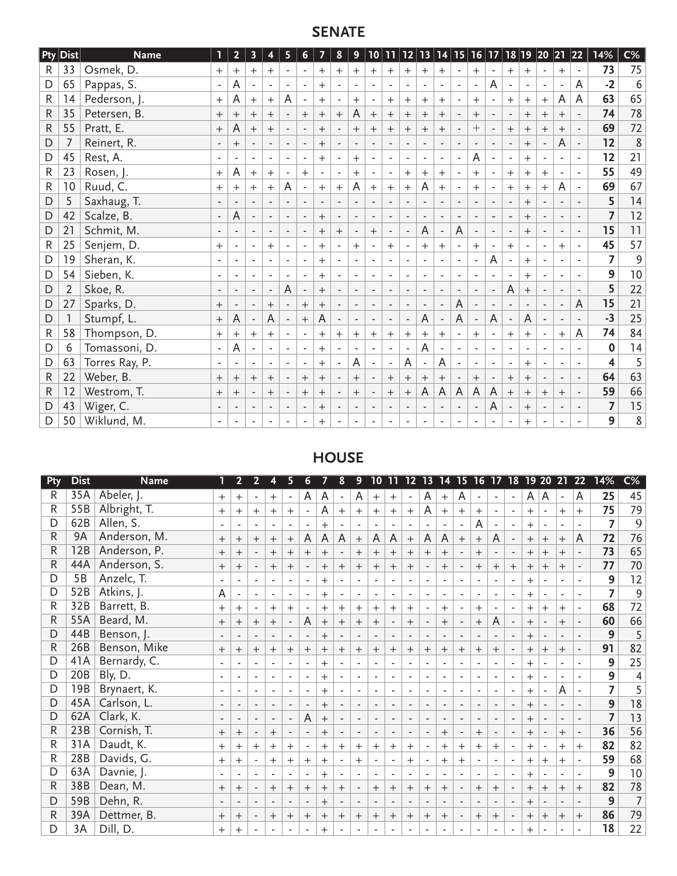# **SENATE**

|              | <b>Pty Dist</b> | <b>Name</b>    |                          | $\overline{2}$ | 3                        | 4                        | 5                        | $6 \overline{6}$         | $\overline{ }$ | $8\phantom{1}$           | 9                        | 10                           | 11                       |                          |                          |                          |                          | 12 13 14 15 16 17        |   | 18 19                    |                          | $ 20\rangle$             | 21                       | 22                       | $\overline{14\%}$ | $C\%$       |
|--------------|-----------------|----------------|--------------------------|----------------|--------------------------|--------------------------|--------------------------|--------------------------|----------------|--------------------------|--------------------------|------------------------------|--------------------------|--------------------------|--------------------------|--------------------------|--------------------------|--------------------------|---|--------------------------|--------------------------|--------------------------|--------------------------|--------------------------|-------------------|-------------|
| R.           | 33              | Osmek, D.      | $^{+}$                   |                | $+$                      | $+$                      |                          |                          | $+$            | $+$                      | $^{+}$                   | $^{+}$                       | $+$                      | $^{+}$                   | $^{+}$                   | $+$                      | $\overline{\phantom{a}}$ | $+$                      |   | $^{+}$                   | $^{+}$                   | $\overline{\phantom{a}}$ | $+$                      | $\overline{\phantom{a}}$ | 73                | 75          |
| D            | 65              | Pappas, S.     | $\overline{\phantom{a}}$ | A              |                          | $\overline{\phantom{a}}$ | $\blacksquare$           | ٠                        | $+$            |                          |                          | $\blacksquare$               | $\blacksquare$           | $\sim$                   | $\blacksquare$           | $\blacksquare$           | $\sim$                   | $\blacksquare$           | A |                          | $\overline{\phantom{a}}$ | $\overline{\phantom{a}}$ | $\overline{\phantom{a}}$ | A                        | $-2$              | $\sqrt{6}$  |
| R            | 14              | Pederson, J.   | $^{+}$                   | A              | $^{+}$                   | $^{+}$                   | A                        |                          | $^{+}$         |                          | $+$                      |                              | $\pm$                    | $\overline{+}$           | $^{+}$                   | $^{+}$                   |                          | $^{+}$                   |   | $\ddot{}$                | $^{+}$                   | $^{+}$                   | A                        | A                        | 63                | 65          |
| $\mathsf{R}$ | 35              | Petersen, B.   | $+$                      | $^+$           | $^{+}$                   | $^{+}$                   | $\overline{\phantom{a}}$ | $^{+}$                   | $^{+}$         | $+$                      | A                        | $^{+}$                       | $+$                      | $+$                      | $^{+}$                   | $^{+}$                   | $\overline{\phantom{a}}$ | $+$                      |   |                          | $+$                      | $^{+}$                   | $^{+}$                   | $\overline{\phantom{a}}$ | 74                | 78          |
| $\mathsf R$  | 55              | Pratt, E.      | $^{+}$                   | A              | $^{+}$                   | $^{+}$                   |                          |                          | $^{+}$         |                          | $^{+}$                   | $^{+}$                       | $^{+}$                   | $^{+}$                   | $^{+}$                   | $^{+}$                   |                          | $^{+}$                   |   | $^+$                     | $^{+}$                   | $^{+}$                   | $^{+}$                   |                          | 69                | 72          |
| D            |                 | Reinert, R.    | ٠                        | $^{+}$         |                          | $\overline{\phantom{a}}$ | $\overline{\phantom{a}}$ | $\overline{\phantom{a}}$ | $+$            |                          |                          |                              | $\overline{\phantom{a}}$ | $\overline{\phantom{a}}$ | $\overline{\phantom{a}}$ | $\overline{\phantom{a}}$ |                          | $\overline{\phantom{a}}$ |   |                          | $+$                      | $\overline{\phantom{a}}$ | $\mathsf A$              | $\overline{\phantom{a}}$ | 12                | $\,8\,$     |
| D            | 45              | Rest, A.       |                          |                |                          |                          |                          |                          | $+$            |                          | $+$                      |                              |                          | $\overline{\phantom{a}}$ |                          | $\overline{\phantom{a}}$ | $\overline{\phantom{a}}$ | A                        |   |                          | $\overline{+}$           |                          | $\overline{\phantom{a}}$ | $\overline{\phantom{a}}$ | 12                | 21          |
| $\mathsf R$  | 23              | Rosen, J.      | $^{+}$                   | A              | $+$                      | $+$                      |                          | $+$                      |                |                          | $+$                      |                              | $\overline{\phantom{a}}$ | $^{+}$                   | $+$                      | $+$                      |                          | $+$                      |   | $^{+}$                   | $+$                      | $+$                      | $\overline{\phantom{a}}$ | $\overline{\phantom{a}}$ | 55                | 49          |
| R            | 10 <sup>°</sup> | Ruud, C.       | $\overline{+}$           |                | $\pm$                    | $^{+}$                   | A                        |                          | $^{+}$         | $^{+}$                   | A                        | $^{+}$                       | $^{+}$                   | $\ddot{}$                | A                        | $^{+}$                   |                          | $+$                      |   | $+$                      | $+$                      | $^{+}$                   | A                        |                          | 69                | 67          |
| D            | 5               | Saxhaug, T.    | $\overline{\phantom{a}}$ |                | $\overline{\phantom{a}}$ | $\overline{\phantom{a}}$ | $\overline{\phantom{a}}$ | $\overline{\phantom{a}}$ | $\blacksquare$ | $\overline{\phantom{a}}$ | $\overline{\phantom{a}}$ | $\overline{\phantom{a}}$     | $\overline{\phantom{a}}$ | $\overline{\phantom{a}}$ | $\overline{\phantom{a}}$ | $\overline{\phantom{a}}$ | $\overline{\phantom{a}}$ | $\overline{\phantom{a}}$ |   | $\overline{\phantom{a}}$ | $^{+}$                   |                          | $\overline{\phantom{a}}$ |                          | 5                 | 14          |
| D            | 42              | Scalze, B.     | $\overline{\phantom{a}}$ | A              |                          |                          |                          |                          | $^{+}$         |                          |                          |                              | $\overline{\phantom{a}}$ | $\overline{\phantom{a}}$ |                          |                          | $\overline{\phantom{a}}$ |                          |   |                          | $^{+}$                   |                          | $\overline{\phantom{a}}$ |                          | $\overline{7}$    | 12          |
| D            | 21              | Schmit, M.     | $\overline{\phantom{m}}$ |                | $\overline{\phantom{a}}$ |                          |                          |                          | $^{+}$         | $+$                      |                          | $^{+}$                       | $\overline{\phantom{a}}$ | $\overline{\phantom{a}}$ | A                        |                          | A                        |                          |   |                          | $^{+}$                   |                          |                          |                          | 15                | 11          |
| R            | 25              | Senjem, D.     | $^{+}$                   |                | $\overline{\phantom{a}}$ | $^{+}$                   |                          |                          | $^{+}$         |                          | $^{+}$                   |                              | $^{+}$                   |                          | $^{+}$                   | $^{+}$                   | $\overline{\phantom{a}}$ | $^{+}$                   |   | $^{+}$                   |                          |                          | $^{+}$                   |                          | 45                | 57          |
| D            | 19              | Sheran, K.     |                          |                | $\overline{\phantom{a}}$ | ٠                        |                          |                          | $+$            |                          |                          |                              |                          | ٠                        |                          |                          |                          |                          | A |                          | $^{+}$                   |                          |                          |                          | $\overline{7}$    | $\mathsf 9$ |
| D            | 54              | Sieben, K.     |                          |                | $\overline{\phantom{a}}$ |                          |                          |                          | $^{+}$         |                          |                          |                              |                          | $\overline{\phantom{a}}$ |                          |                          |                          |                          |   |                          | $^{+}$                   |                          | ٠                        |                          | 9                 | 10          |
| D            | $\overline{2}$  | Skoe, R.       | $\blacksquare$           |                | $\overline{\phantom{a}}$ | $\blacksquare$           | $\overline{A}$           |                          | $^{+}$         |                          |                          | $\qquad \qquad \blacksquare$ | $\overline{\phantom{m}}$ | $\overline{\phantom{a}}$ | $\blacksquare$           |                          |                          |                          |   | A                        | $^{+}$                   |                          |                          |                          | 5                 | 22          |
| D            | 27              | Sparks, D.     | $^{+}$                   |                | $\overline{\phantom{a}}$ | $^{+}$                   | $\overline{\phantom{a}}$ | $^+$                     | $^{+}$         |                          |                          | $\overline{\phantom{a}}$     | $\overline{\phantom{a}}$ | $\overline{\phantom{a}}$ |                          | $\overline{\phantom{a}}$ | A                        |                          |   |                          | $\overline{\phantom{0}}$ | $\overline{\phantom{a}}$ | $\overline{\phantom{a}}$ | A                        | 15                | 21          |
| D            |                 | Stumpf, L.     | $+$                      | A              | $\overline{\phantom{a}}$ | A                        | $\overline{\phantom{a}}$ | $+$                      | A              | $\overline{\phantom{a}}$ | $\overline{\phantom{a}}$ | $\overline{\phantom{a}}$     | $\overline{\phantom{a}}$ | $\overline{\phantom{a}}$ | A                        | $\overline{\phantom{a}}$ | A                        |                          | A | ٠                        | A                        | $\overline{\phantom{a}}$ | $\overline{\phantom{a}}$ | $\overline{\phantom{a}}$ | $-3$              | 25          |
| R            | 58              | Thompson, D.   | $^{+}$                   | $\pm$          | $\pm$                    | $^{+}$                   |                          | $\overline{\phantom{a}}$ | $^+$           | $+$                      | $\overline{+}$           | $\pm$                        | $\pm$                    | $\mathrm{+}$             | $^{+}$                   | $\pm$                    |                          | $^{+}$                   |   | $\pm$                    | $^{+}$                   | ٠                        | $\overline{+}$           | A                        | 74                | 84          |
| D            | 6               | Tomassoni, D.  | $\overline{\phantom{a}}$ | A              |                          |                          |                          | $\overline{\phantom{a}}$ | $^{+}$         |                          |                          |                              |                          |                          | A                        |                          |                          |                          |   |                          |                          |                          |                          |                          | 0                 | 14          |
| D            | 63              | Torres Ray, P. |                          |                |                          |                          |                          |                          | $^{+}$         |                          | A                        |                              |                          | A                        |                          | A                        |                          |                          |   |                          | $^+$                     |                          |                          |                          | 4                 | 5           |
| R            | 22              | Weber, B.      | $^{+}$                   | $^{+}$         | $^{+}$                   | $^{+}$                   | $\overline{\phantom{a}}$ | $^{+}$                   | $+$            |                          | $+$                      |                              | $^{+}$                   | $+$                      | $^{+}$                   | $^{+}$                   |                          | $+$                      |   | $^{+}$                   | $^{+}$                   |                          | $\overline{\phantom{a}}$ | $\overline{\phantom{a}}$ | 64                | 63          |
| R            | 12              | Westrom, T.    | $^{+}$                   | $\mathrm{+}$   | $\overline{\phantom{a}}$ | $^{+}$                   |                          | $^{+}$                   | $^{+}$         |                          | $^{+}$                   | $\overline{\phantom{a}}$     | $^{+}$                   | $^{+}$                   | A                        | A                        | A                        | A                        | A | $^{+}$                   | $^{+}$                   | $^{+}$                   | $^{+}$                   | $\overline{\phantom{a}}$ | 59                | 66          |
| D            | 43              | Wiger, C.      |                          |                | $\overline{\phantom{a}}$ |                          |                          |                          | $^{+}$         |                          |                          |                              | $\overline{\phantom{a}}$ | $\overline{\phantom{a}}$ |                          |                          |                          |                          | A |                          | $^{+}$                   | $\overline{\phantom{a}}$ | $\overline{\phantom{a}}$ |                          | $\overline{7}$    | 15          |
| D            | 50              | Wiklund, M.    | $\overline{\phantom{a}}$ |                |                          |                          |                          |                          | $^{+}$         |                          |                          |                              |                          |                          |                          |                          |                          |                          |   |                          | $^+$                     |                          |                          |                          | 9                 | 8           |

# **HOUSE**

| Pty            | <b>Dist</b> | <b>Name</b>  |                          | 2                        |                          |                          |                          | 6                        |              | 8                        |                          | 10                       |                          | 12 <sub>2</sub>          | 13                       | 14                       | 15                       | <b>16</b>                | 17                       | 18                       |                | 19 20  | 21                       | 22                       | 14%            | $\overline{C\%}$ |
|----------------|-------------|--------------|--------------------------|--------------------------|--------------------------|--------------------------|--------------------------|--------------------------|--------------|--------------------------|--------------------------|--------------------------|--------------------------|--------------------------|--------------------------|--------------------------|--------------------------|--------------------------|--------------------------|--------------------------|----------------|--------|--------------------------|--------------------------|----------------|------------------|
| R              | 35A         | Abeler, J.   | $^{+}$                   | $+$                      |                          | $+$                      | $\overline{\phantom{a}}$ | A                        | A            | $\overline{\phantom{a}}$ | A                        | $^{+}$                   | $^{+}$                   | $\overline{\phantom{a}}$ | A                        | $+$                      | A                        | $\overline{\phantom{a}}$ | $\overline{\phantom{a}}$ | $\overline{\phantom{a}}$ | A              | A      | $\overline{\phantom{a}}$ | A                        | 25             | 45               |
| R              | 55B         | Albright, T. | $+$                      | $^{+}$                   | $+$                      | $+$                      | $+$                      |                          | A            | $+$                      | $^{+}$                   | $+$                      | $+$                      | $+$                      | A                        | $+$                      | $^{+}$                   | $+$                      |                          |                          | $+$            |        | $+$                      | $+$                      | 75             | 79               |
| D              | 62B         | Allen, S.    | $\blacksquare$           |                          |                          |                          |                          |                          | $^{+}$       |                          |                          | $\blacksquare$           |                          |                          |                          |                          |                          | A                        | $\overline{\phantom{a}}$ | $\sim$                   | $^{+}$         |        |                          |                          | $\overline{7}$ | 9                |
| $\mathsf{R}$   | 9A          | Anderson, M. | $+$                      | $^{+}$                   | $^{+}$                   | $+$                      | $+$                      | A                        | $\mathsf{A}$ | A                        | $^{+}$                   | A                        | A                        | $^{+}$                   | A                        | A                        | $+$                      | $+$                      | A                        | $\overline{\phantom{a}}$ | $^{+}$         | $+$    | $^{+}$                   | A                        | 72             | 76               |
| $\overline{R}$ | 12B         | Anderson, P. | $^{+}$                   | $^{+}$                   | $\overline{\phantom{a}}$ | $^{+}$                   | $+$                      | $^{+}$                   | $^{+}$       | $\overline{\phantom{a}}$ | $^{+}$                   | $^{+}$                   | $+$                      | $^{+}$                   | $^{+}$                   | $^{+}$                   |                          | $^{+}$                   | $\overline{\phantom{a}}$ | $\overline{\phantom{a}}$ | $^{+}$         | $^{+}$ | $\ddot{}$                | $\overline{\phantom{a}}$ | 73             | 65               |
| $\mathsf{R}$   | 44A         | Anderson, S. | $^{+}$                   | $^{+}$                   | $\overline{\phantom{a}}$ | $+$                      | $^{+}$                   | $\overline{\phantom{a}}$ | $+$          | $^{+}$                   | $^{+}$                   | $^{+}$                   | $^{+}$                   | $^{+}$                   | $\overline{\phantom{a}}$ | $^{+}$                   |                          | $^{+}$                   | $+$                      | $+$                      | $^{+}$         | $^{+}$ | $^{+}$                   | $\overline{\phantom{a}}$ | 77             | $70\,$           |
| D              | 5B          | Anzelc, T.   |                          |                          |                          |                          |                          |                          | $\pm$        |                          |                          |                          |                          |                          |                          |                          |                          |                          |                          |                          | $^{+}$         |        |                          |                          | 9              | 12               |
| D              | 52B         | Atkins, J.   | A                        |                          |                          | $\overline{\phantom{a}}$ |                          |                          | $^{+}$       |                          |                          | $\overline{\phantom{a}}$ |                          | $\overline{\phantom{a}}$ | $\overline{\phantom{a}}$ | $\overline{\phantom{a}}$ |                          | $\overline{\phantom{a}}$ | ٠                        | $\overline{\phantom{a}}$ | $^{+}$         |        |                          |                          | $\overline{z}$ | $9\,$            |
| R              | 32B         | Barrett, B.  | $^{+}$                   | $+$                      | ٠                        | $^{+}$                   | $+$                      |                          | $^{+}$       | $^{+}$                   | $\hspace{0.1mm} +$       | $^{+}$                   | $^{+}$                   | $\overline{+}$           |                          | $+$                      |                          | $^{+}$                   |                          |                          | $^{+}$         |        | $^{+}$                   |                          | 68             | 72               |
| R              | 55A         | Beard, M.    | $+$                      | $^{+}$                   | $+$                      | $^{+}$                   |                          | A                        | $^{+}$       | $^{+}$                   | $+$                      | $+$                      | $\overline{\phantom{a}}$ | $+$                      |                          | $+$                      |                          | $^{+}$                   | A                        | $\overline{\phantom{a}}$ | $+$            |        | $+$                      |                          | 60             | 66               |
| D              | 44B         | Benson, J.   | $\blacksquare$           |                          | $\overline{\phantom{a}}$ | $\overline{\phantom{a}}$ | $\overline{\phantom{a}}$ | $\overline{\phantom{a}}$ | $+$          | $\overline{\phantom{a}}$ | $\overline{\phantom{a}}$ | $\overline{\phantom{a}}$ | $\overline{\phantom{a}}$ | $\overline{\phantom{a}}$ | $\overline{\phantom{a}}$ | $\overline{\phantom{a}}$ | $\sim$                   | $\overline{\phantom{a}}$ | $\overline{\phantom{a}}$ | $\overline{\phantom{a}}$ | $+$            |        |                          |                          | 9              | 5                |
| $\mathsf{R}$   | 26B         | Benson, Mike | $\! +$                   | $^{+}$                   | $^{+}$                   | $^{+}$                   | $^{+}$                   | $^{+}$                   | $^{+}$       | $^{+}$                   | $^{+}$                   | $\mathrm{+}$             | $^{+}$                   | $^{+}$                   | $^{+}$                   | $+$                      | $+$                      | $^{+}$                   | $^{+}$                   | $\overline{\phantom{a}}$ | $^{+}$         | $^{+}$ | $\ddot{}$                | $\overline{\phantom{a}}$ | 91             | 82               |
| D              | 41A         | Bernardy, C. | $\overline{\phantom{a}}$ | $\overline{\phantom{a}}$ |                          | $\overline{\phantom{a}}$ |                          | ٠                        | $^{+}$       |                          | $\overline{\phantom{a}}$ | $\overline{\phantom{a}}$ | $\overline{\phantom{a}}$ | $\overline{\phantom{a}}$ | $\overline{\phantom{a}}$ |                          |                          |                          | $\overline{\phantom{a}}$ | $\overline{\phantom{a}}$ | $^{+}$         |        |                          |                          | 9              | 25               |
| D              | 20B         | Bly, D.      | $\overline{\phantom{a}}$ |                          |                          |                          |                          |                          | $^{+}$       |                          |                          |                          |                          |                          |                          |                          |                          |                          |                          |                          | $^{+}$         |        |                          |                          | 9              | $\overline{4}$   |
| D              | 19B         | Brynaert, K. | $\overline{\phantom{a}}$ |                          | $\overline{\phantom{a}}$ | $\overline{\phantom{a}}$ |                          |                          | $^{+}$       |                          | $\overline{\phantom{a}}$ | $\overline{\phantom{a}}$ |                          | $\overline{\phantom{a}}$ | $\overline{\phantom{a}}$ | ٠                        |                          |                          | ٠                        | $\overline{\phantom{a}}$ | $+$            |        | A                        |                          | $\overline{z}$ | 5                |
| D              | 45A         | Carlson, L.  |                          |                          | $\overline{\phantom{a}}$ |                          |                          |                          | $+$          |                          | $\overline{\phantom{a}}$ | $\overline{\phantom{a}}$ |                          |                          |                          |                          |                          | $\overline{\phantom{a}}$ |                          |                          | $+$            |        |                          |                          | 9              | 18               |
| D              | 62A         | Clark, K.    | $\blacksquare$           |                          |                          | $\overline{\phantom{a}}$ |                          | A                        | $^{+}$       | $\overline{\phantom{a}}$ | $\overline{\phantom{a}}$ | $\overline{\phantom{a}}$ |                          | $\overline{\phantom{a}}$ |                          |                          |                          | $\overline{\phantom{a}}$ | $\overline{\phantom{a}}$ | $\overline{\phantom{a}}$ | $^{+}$         |        |                          |                          | $\overline{7}$ | 13               |
| R              | 23B         | Cornish, T.  | $^{+}$                   | $^{+}$                   | $\overline{\phantom{a}}$ | $^{+}$                   | $\overline{\phantom{a}}$ | $\overline{\phantom{a}}$ | $+$          | $\overline{\phantom{a}}$ | $\overline{\phantom{a}}$ | $\overline{\phantom{a}}$ | $\overline{\phantom{a}}$ | $\overline{\phantom{a}}$ | $\overline{\phantom{a}}$ | $^{+}$                   | $\overline{\phantom{a}}$ | $^{+}$                   | $\overline{\phantom{a}}$ | $\overline{\phantom{a}}$ | $\! +$         |        | $^{+}$                   | $\overline{\phantom{a}}$ | 36             | 56               |
| $\overline{R}$ | 31A         | Daudt, K.    | $+$                      | $^{+}$                   | $^{+}$                   | $^{+}$                   | $^{+}$                   | ٠                        | $^{+}$       | $^{+}$                   | $^{+}$                   | $^{+}$                   | $^{+}$                   | $^{+}$                   | $\overline{\phantom{a}}$ | $^{+}$                   | $+$                      | $^{+}$                   | $^{+}$                   | $\overline{\phantom{a}}$ | $^{+}$         |        | $^{+}$                   | $^{+}$                   | 82             | 82               |
| $\mathsf{R}$   | 28B         | Davids, G.   | $^{+}$                   | $\pm$                    |                          | $+$                      | $^{+}$                   | $+$                      | $^{+}$       |                          | $+$                      | $\overline{\phantom{a}}$ | $\overline{\phantom{a}}$ | $\pm$                    | ٠                        | $^{+}$                   | $+$                      |                          | $\overline{\phantom{a}}$ | $\overline{\phantom{a}}$ | $^{+}$         | $^{+}$ | $\pm$                    |                          | 59             | 68               |
| D              | 63A         | Davnie, J.   |                          |                          |                          |                          |                          |                          | $^{+}$       | $\overline{\phantom{a}}$ |                          | $\overline{\phantom{a}}$ |                          |                          |                          |                          |                          |                          |                          |                          | $\overline{+}$ |        |                          |                          | 9              | 10 <sup>°</sup>  |
| $\mathsf{R}$   | 38B         | Dean, M.     | $^{+}$                   | $^{+}$                   |                          | $^{+}$                   | $+$                      | $^{+}$                   | $^{+}$       | $^{+}$                   |                          | $^{+}$                   | $^{+}$                   | $^{+}$                   | $^{+}$                   | $^{+}$                   |                          | $^{+}$                   | $^{+}$                   |                          | $^{+}$         | $^{+}$ | $^{+}$                   | $^{+}$                   | 82             | 78               |
| D              | 59B         | Dehn, R.     | $\overline{\phantom{a}}$ | $\overline{\phantom{a}}$ | $\overline{\phantom{a}}$ | $\overline{\phantom{a}}$ |                          | $\overline{\phantom{a}}$ | $^{+}$       | $\overline{\phantom{a}}$ | $\overline{\phantom{a}}$ | $\overline{\phantom{a}}$ | $\overline{\phantom{a}}$ | $\overline{\phantom{a}}$ | $\overline{\phantom{a}}$ | $\overline{\phantom{a}}$ |                          | $\overline{\phantom{a}}$ | $\overline{\phantom{a}}$ |                          | $^{+}$         |        |                          |                          | $\overline{9}$ | $\overline{7}$   |
| R              | 39A         | Dettmer, B.  | $+$                      | $^{+}$                   | $\overline{\phantom{a}}$ | $^{+}$                   | $^{+}$                   | $^{+}$                   | $^{+}$       | $^{+}$                   | $^{+}$                   | $^{+}$                   | $^{+}$                   | $^{+}$                   | $\pm$                    | $^{+}$                   |                          | $^{+}$                   | $+$                      | $\overline{\phantom{a}}$ | $^{+}$         | $^{+}$ | $^{+}$                   | $+$                      | 86             | 79               |
| D              | 3A          | Dill, D.     | $^{+}$                   | $^{+}$                   |                          |                          |                          |                          | $^{+}$       |                          |                          |                          |                          |                          |                          |                          |                          |                          |                          |                          | $^{+}$         |        |                          |                          | 18             | 22               |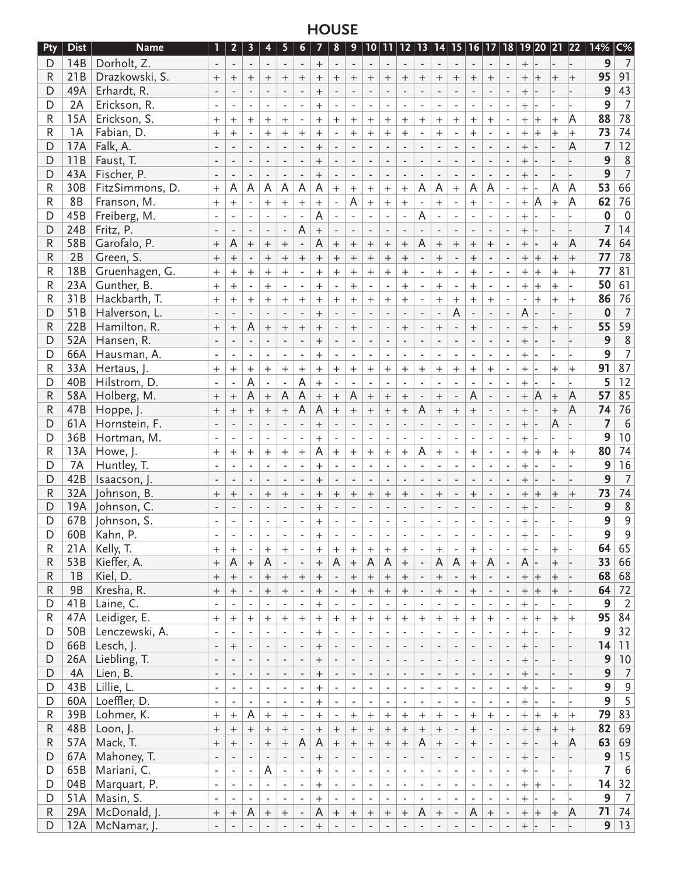# **HOUSE**

| Pty                     | <b>Dist</b>     | <b>Name</b>     | 1                            | 2 <sub>2</sub>                   | 3                        | $\overline{\mathbf{4}}$  | 5                        | 6                                | 7                | 8                        | 9                        |                          |                          |                          |                          |                          |                          |                                  |                             |                          |                                  |                          |                  | 10   11   12   13   14   15   16   17   18   19  20  21  22 | 14%              | $C\%$            |
|-------------------------|-----------------|-----------------|------------------------------|----------------------------------|--------------------------|--------------------------|--------------------------|----------------------------------|------------------|--------------------------|--------------------------|--------------------------|--------------------------|--------------------------|--------------------------|--------------------------|--------------------------|----------------------------------|-----------------------------|--------------------------|----------------------------------|--------------------------|------------------|-------------------------------------------------------------|------------------|------------------|
| D                       | 14B             | Dorholt, Z.     |                              | $\blacksquare$                   |                          | $\overline{\phantom{a}}$ | $\overline{\phantom{a}}$ | $\overline{\phantom{a}}$         | $\! +$           | $\overline{\phantom{a}}$ |                          |                          |                          | $\overline{\phantom{a}}$ | $\overline{\phantom{a}}$ | $\overline{\phantom{a}}$ | $\overline{\phantom{a}}$ |                                  |                             |                          | $^{+}$                           |                          |                  |                                                             | 9                | 7                |
| R                       | 21B             | Drazkowski, S.  | $^{+}$                       | $^{+}$                           | $^{+}$                   | $^{+}$                   | $^{+}$                   | $^{+}$                           | $^{+}$           | $\mathrm{+}$             | $^+$                     | $^{+}$                   | $^{+}$                   | $^{+}$                   | $^{+}$                   | $^{+}$                   | $^{+}$                   | $^{+}$                           | $^{+}$                      |                          | $^{+}$                           | $^{+}$                   | $^{+}$           |                                                             | 95               | 91               |
| D                       | 49A             | Erhardt, R.     |                              |                                  |                          |                          |                          | $\overline{a}$                   | $^{+}$           |                          |                          | $\overline{a}$           |                          |                          |                          | L.                       | $\overline{\phantom{a}}$ | $\overline{a}$                   | $\overline{\phantom{a}}$    |                          | $^{+}$                           |                          |                  |                                                             | 9                | 43               |
| D                       | 2A              | Erickson, R.    |                              |                                  |                          |                          |                          |                                  | $^{+}$           |                          |                          |                          |                          |                          |                          |                          | $\blacksquare$           |                                  |                             |                          | $^{+}$                           |                          |                  |                                                             | 9                | $\overline{7}$   |
| R                       | 15A             | Erickson, S.    | $\ddot{}$                    | $\overline{+}$                   | $^{+}$                   | $^{+}$                   | $^{+}$                   | $\blacksquare$                   | $^{+}$           | $+$                      | $\hspace{0.1mm} +$       | $^{+}$                   | $^{+}$                   | $^{+}$                   | $^{+}$                   | $^{+}$                   | $+$                      | $^{+}$                           | $^+$                        | $\overline{\phantom{a}}$ | $^+$                             | $\overline{+}$           | $\,{}^+$         | A                                                           | 88               | 78               |
| R                       | 1A              | Fabian, D.      | $+$                          | $+$                              | $\blacksquare$           | $+$                      | $^{+}$                   | $+$                              | $+$              | $\overline{\phantom{a}}$ | $+$                      | $+$                      | $+$                      | $+$                      |                          | $+$                      | $\blacksquare$           | $+$                              | $\overline{\phantom{a}}$    | $\overline{\phantom{a}}$ | $^{+}$                           | $\overline{+}$           | $\ddot{}$        | $\pm$                                                       | 73               | 74               |
| $\mathsf{D}$            | 17A             | Falk, A.        |                              |                                  | $\overline{\phantom{a}}$ | ÷,                       |                          | ÷,                               | $+$              | ÷,                       |                          |                          |                          |                          |                          | ÷,                       | $\overline{\phantom{a}}$ | ÷,                               | $\overline{\phantom{a}}$    |                          | $^{+}$                           |                          |                  | A                                                           | $\overline{7}$   | $\overline{12}$  |
| D                       | 11B             | Faust, T.       |                              |                                  |                          |                          |                          |                                  | $+$              |                          |                          |                          |                          |                          |                          |                          |                          |                                  |                             |                          | $^{+}$                           |                          |                  |                                                             | 9                | $\,$ 8           |
| D                       | 43A             | Fischer, P.     |                              |                                  |                          |                          |                          |                                  | $^{+}$           |                          |                          |                          |                          |                          |                          |                          |                          |                                  |                             |                          | $^{+}$                           |                          |                  |                                                             | 9                | $\overline{7}$   |
| R                       | 30B             | FitzSimmons, D. | $+$                          | Α                                | A                        | A                        | A                        | A                                | A                | $^{+}$                   | $^{+}$                   | $^{+}$                   | $+$                      | $^{+}$                   | Α                        | Α                        | $^{+}$                   | A                                | A                           | $\blacksquare$           | $\ddot{}$                        |                          | Α                | A                                                           | 53               | 66               |
| R                       | <b>8B</b>       | Franson, M.     |                              | $^{+}$                           |                          | $+$                      | $+$                      | $^{+}$                           | $+$              | $\overline{\phantom{a}}$ | A                        | $^{+}$                   |                          | $+$                      | ÷,                       | $+$                      | $\overline{\phantom{a}}$ | $+$                              |                             | $\blacksquare$           |                                  | A                        | $\pm$            | A                                                           | 62               | 76               |
| D                       | 45B             |                 | $+$                          |                                  |                          |                          |                          |                                  | A                |                          |                          |                          | $\! + \!$                |                          |                          |                          |                          |                                  |                             |                          | $\ddot{}$                        |                          |                  |                                                             | 0                | $\mathbf 0$      |
|                         |                 | Freiberg, M.    |                              | $\blacksquare$                   | $\blacksquare$           | $\blacksquare$           | ä,                       | $\overline{\phantom{a}}$<br>A    |                  | $\blacksquare$           | $\blacksquare$           | $\overline{\phantom{a}}$ | $\blacksquare$           | $\blacksquare$           | Α                        | $\blacksquare$           |                          |                                  | $\overline{\phantom{a}}$    | $\blacksquare$           | $^{+}$                           |                          |                  |                                                             |                  | 14               |
| D                       | 24B             | Fritz, P.       |                              |                                  |                          | ÷,                       | ÷,                       |                                  | $\ddot{}$        | $\overline{\phantom{a}}$ |                          |                          |                          |                          |                          |                          |                          |                                  |                             |                          | $^{+}$                           |                          |                  |                                                             | 7                |                  |
| R                       | 58B             | Garofalo, P.    | $+$                          | A                                | $^{+}$                   | $+$                      | $^{+}$                   | $\overline{\phantom{a}}$         | A                | $+$                      | $^{+}$                   | $^{+}$                   | $^{+}$                   | $^{+}$                   | A                        | $^{+}$                   | $+$                      | $^{+}$                           | $^{+}$                      |                          | $^{+}$                           |                          | $^{+}$           | A                                                           | 74               | 64               |
| R                       | 2B              | Green, S.       | $\! +$                       | $^{+}$                           | $\overline{\phantom{a}}$ | $^{+}$                   | $\ddot{}$                | $^{+}$                           | $^{+}$           | $^{+}$                   | $^{+}$                   | $^{+}$                   | $^{+}$                   | $^{+}$                   |                          | $^{+}$                   |                          | $^{+}$                           | $\overline{\phantom{a}}$    |                          | $^{+}$                           | $^{+}$                   | $^{+}$           |                                                             | 77               | 78               |
| R                       | 18B             | Gruenhagen, G.  | $+$                          | $+$                              | $^{+}$                   | $+$                      | $^{+}$                   | ä,                               | $+$              | $^{+}$                   | $^{+}$                   | $^{+}$                   | $+$                      | $+$                      |                          | $\ddot{}$                | $\overline{\phantom{a}}$ | $^{+}$                           | $\overline{\phantom{a}}$    | ÷,                       | $\overline{+}$                   | $\overline{+}$           | $^{+}$           |                                                             | 77               | 81               |
| R                       | 23A             | Gunther, B.     | $+$                          | $+$                              | $\blacksquare$           | $+$                      | $\blacksquare$           | $\blacksquare$                   | $+$              | $\overline{\phantom{a}}$ | $^{+}$                   | $\overline{\phantom{a}}$ | $\blacksquare$           | $^{+}$                   |                          | $+$                      | $\overline{\phantom{a}}$ | $^{+}$                           | $\overline{\phantom{a}}$    | $\overline{\phantom{a}}$ | $^{+}$                           | $^{+}$                   | $^{+}$           |                                                             | 50               | 61               |
| $\overline{\mathsf{R}}$ | 31B             | Hackbarth, T.   | $+$                          | $+$                              | $^{+}$                   | $+$                      | $^{+}$                   | $^{+}$                           | $^{+}$           | $^{+}$                   | $^{+}$                   | $^{+}$                   | $+$                      | $\boldsymbol{+}$         | $\overline{\phantom{a}}$ | $+$                      | $\! + \!\!\!\!$          | $^{+}$                           | $^{+}$                      | $\blacksquare$           | $\overline{\phantom{a}}$         | $\overline{+}$           | $\overline{+}$   |                                                             | 86               | 76               |
| D                       | 51B             | Halverson, L.   |                              |                                  |                          |                          |                          |                                  | $^{+}$           |                          |                          |                          |                          |                          |                          | $\frac{1}{2}$            | A                        | $\overline{a}$                   |                             |                          | A                                |                          |                  |                                                             | $\bf{0}$         | $\overline{7}$   |
| $\mathsf R$             | 22B             | Hamilton, R.    | $+$                          | $^{+}$                           | $\mathsf A$              | $^{+}$                   | $^{+}$                   | $^{+}$                           | $^{+}$           |                          | $^{+}$                   | ÷,                       |                          | $^{+}$                   |                          | $\qquad \qquad +$        | ÷,                       | $^{+}$                           | ÷,                          |                          | $^{+}$                           |                          | $^{+}$           |                                                             | 55               | 59               |
| D                       | 52A             | Hansen, R.      |                              |                                  |                          |                          |                          |                                  | $^{+}$           |                          |                          |                          |                          |                          |                          |                          |                          |                                  |                             |                          | $^{+}$                           |                          |                  |                                                             | 9                | $\boldsymbol{8}$ |
| D                       | 66A             | Hausman, A.     |                              |                                  |                          |                          |                          |                                  | $^{+}$           |                          |                          |                          |                          |                          |                          |                          |                          |                                  |                             |                          | $^{+}$                           |                          |                  |                                                             | 9                | $\overline{7}$   |
| R                       | 33A             | Hertaus, J.     | $^{+}$                       | $+$                              | $\pm$                    | $+$                      | $^{+}$                   | $\ddot{}$                        | $\boldsymbol{+}$ | $+$                      | $\ddot{}$                | $^{+}$                   | $+$                      | $+$                      | $^{+}$                   | $+$                      | $+$                      | $+$                              | $^{+}$                      |                          | $^{+}$                           |                          | $^{+}$           | $\pm$                                                       | 91               | 87               |
| D                       | 40B             | Hilstrom, D.    |                              | $\sim$                           | A                        | $\blacksquare$           | $\blacksquare$           | A                                | $\boldsymbol{+}$ | $\overline{\phantom{a}}$ |                          |                          |                          |                          |                          | $\overline{\phantom{a}}$ | $\blacksquare$           |                                  | $\overline{\phantom{a}}$    |                          | $^{+}$                           |                          |                  |                                                             | 5                | 12               |
| R                       | 58A             | Holberg, M.     | $^{+}$                       | $+$                              | A                        | $+$                      | A                        | A                                | $^{+}$           | $+$                      | A                        | $^{+}$                   | $^{+}$                   | $^{+}$                   | $\overline{\phantom{a}}$ | $^{+}$                   | $\overline{\phantom{a}}$ | A                                |                             |                          | $^{+}$                           | $\overline{A}$           | $^{+}$           | A                                                           | 57               | 85               |
| R                       | 47B             | Hoppe, J.       | $^{+}$                       | $^{+}$                           | $^{+}$                   | $^{+}$                   | $\ddot{}$                | A                                | $\mathsf A$      | $^{+}$                   | $^{+}$                   | $^{+}$                   | $^{+}$                   | $^{+}$                   | A                        | $^{+}$                   | $^{+}$                   | $^{+}$                           |                             |                          | $^{+}$                           |                          | $^{+}$           | A                                                           | 74               | 76               |
| D                       | 61A             | Hornstein, F.   |                              |                                  |                          |                          |                          |                                  | $^{+}$           |                          |                          |                          |                          |                          |                          |                          |                          |                                  |                             |                          | $^{+}$                           |                          | A                |                                                             | $\overline{7}$   | 6                |
| D                       | 36B             | Hortman, M.     | $\blacksquare$               | ä,                               | $\overline{\phantom{a}}$ | $\blacksquare$           | $\overline{\phantom{a}}$ | ä,                               | $+$              | $\blacksquare$           | ÷.                       | $\overline{\phantom{a}}$ | $\sim$                   | $\blacksquare$           | ÷,                       | $\blacksquare$           | $\sim$                   | $\overline{\phantom{a}}$         | $\blacksquare$              | $\blacksquare$           | $\ddot{}$                        |                          |                  |                                                             | 9                | 10               |
| R                       | 13A             | Howe, J.        | $^{+}$                       | $^{+}$                           | $+$                      | $+$                      | $\! + \!$                | $\ddot{}$                        | A                | $^{+}$                   | $^{+}$                   | $+$                      | $+$                      | $+$                      | A                        | $^{+}$                   | $\overline{\phantom{a}}$ | $^{+}$                           | $\blacksquare$              | $\blacksquare$           | $^{+}$                           | $\ddot{}$                | $\overline{+}$   | $\ddot{}$                                                   | 80               | $74$             |
| D                       | 7A              | Huntley, T.     |                              |                                  | $\overline{\phantom{a}}$ | ÷,                       | L.                       | L.                               | $+$              |                          |                          |                          | $\overline{\phantom{a}}$ |                          |                          |                          | $\sim$                   |                                  |                             |                          | $^{+}$                           |                          |                  |                                                             | 9                | $\overline{16}$  |
| D                       | 42B             | Isaacson, J.    |                              |                                  |                          |                          |                          |                                  | $^{+}$           |                          |                          |                          |                          |                          |                          |                          |                          | $\overline{a}$                   |                             |                          | $^{+}$                           |                          |                  |                                                             | 9                | $\overline{7}$   |
| R                       | 32A             | Johnson, B.     | $^{+}$                       | $^{+}$                           |                          | $^{+}$                   | $^{+}$                   | ÷                                | $\! + \!\!\!\!$  | $^{+}$                   | $^{+}$                   | $^{+}$                   | $\boldsymbol{+}$         | $^{+}$                   | $\blacksquare$           | $\! + \!$                | $\overline{\phantom{a}}$ | $^{+}$                           |                             |                          | $^{+}$                           | $\ddot{}$                | $^{+}$           | $\pm$                                                       | 73               | 74               |
| D                       | 19A             | Johnson, C.     |                              |                                  |                          |                          |                          |                                  |                  |                          |                          |                          |                          |                          |                          |                          |                          |                                  |                             |                          |                                  |                          |                  |                                                             | 9                | $\,$ 8 $\,$      |
| D                       | 67B             |                 |                              | $\overline{\phantom{a}}$         |                          |                          |                          | $\overline{a}$                   |                  |                          |                          |                          |                          |                          |                          | $\overline{\phantom{a}}$ | $\overline{\phantom{a}}$ |                                  | $\overline{\phantom{a}}$    | $\centerdot$             | $\! + \!$                        |                          |                  |                                                             | 9                | 9                |
| D                       |                 | Johnson, S.     |                              |                                  |                          |                          |                          |                                  | $^{+}$           |                          |                          |                          |                          |                          |                          | $\overline{\phantom{a}}$ |                          |                                  |                             |                          | $^{+}$                           |                          |                  |                                                             | 9                | 9                |
|                         | 60B             | Kahn, P.        |                              |                                  |                          |                          |                          |                                  | $^{+}$           |                          |                          |                          |                          |                          |                          |                          |                          |                                  |                             |                          | $^{+}$                           |                          |                  |                                                             |                  |                  |
| R                       | 21A             | Kelly, T.       | $^{+}$                       | $^{+}$                           | $\overline{\phantom{a}}$ | $^{+}$                   | $\,{}^+$                 | $\blacksquare$                   | $\mathrm{+}$     | $\, +$                   | $\hspace{0.1mm} +$       | $^{+}$                   | $\hspace{0.1mm} +$       | $\hspace{0.1mm} +$       | $\overline{\phantom{a}}$ | $^{+}$                   | $\overline{\phantom{a}}$ | $\, +$                           | $\overline{\phantom{a}}$    |                          | $^+$                             |                          | $^{+}$           |                                                             | 64               | 65               |
| R                       | 53B             | Kieffer, A.     |                              | A                                | $\qquad \qquad +$        | $\mathsf A$              | L,                       | ÷,                               | $\ddot{}$        | A                        | $\boldsymbol{+}$         | A                        | A                        | $\ddot{}$                | $\Box$                   | А                        | $\mathsf A$              | $\boldsymbol{+}$                 | A                           | $\blacksquare$           | A                                |                          | $^{+}$           |                                                             | 33               | 66               |
| R                       | 1B              | Kiel, D.        | $\boldsymbol{+}$             | $\boldsymbol{+}$                 | ÷.                       | $\boldsymbol{+}$         |                          | $\boldsymbol{+}$                 | $\boldsymbol{+}$ | $\overline{\phantom{a}}$ | $\! + \!\!\!\!$          | $^+$                     | $\boldsymbol{+}$         | $+$                      | $\Box$                   | $+$                      | $\overline{\phantom{a}}$ | $\boldsymbol{+}$                 | $\overline{\phantom{a}}$    | $\overline{\phantom{a}}$ | $^{+}$                           | $\left  + \right $       | $\pm$            |                                                             | 68               | 68               |
| R                       | 9B              | Kresha, R.      | $\! +$                       | $\qquad \qquad +$                | $\overline{\phantom{a}}$ | $\boldsymbol{+}$         | $\! + \!$                | $\blacksquare$                   | $^+$             | $\overline{\phantom{a}}$ | $\! + \!\!\!\!$          | $^{+}$                   | $\boldsymbol{+}$         | $\boldsymbol{+}$         | $\overline{\phantom{a}}$ | $\boldsymbol{+}$         | $\overline{\phantom{a}}$ |                                  | $\overline{\phantom{a}}$    | $\overline{\phantom{a}}$ | $\qquad \qquad +$                | $\left  + \right\rangle$ | $+$              |                                                             | 64               | $72$             |
| $\mathsf D$             | 41B             | Laine, C.       | ä,                           | $\blacksquare$                   | $\blacksquare$           | $\blacksquare$           | $\blacksquare$           | $\overline{\phantom{a}}$         | $\boldsymbol{+}$ | $\overline{\phantom{a}}$ | $\overline{\phantom{a}}$ | ÷,                       | $\overline{\phantom{a}}$ | $\overline{\phantom{a}}$ | $\blacksquare$           | ä,                       | $\blacksquare$           | $\overline{\phantom{a}}$         | $\mathcal{L}_{\mathcal{A}}$ | $\overline{\phantom{a}}$ | $^{+}$                           |                          |                  |                                                             | 9                | $\overline{2}$   |
| ${\sf R}$               | 47A             | Leidiger, E.    | $^{+}$                       | $\begin{array}{c} + \end{array}$ | $\boldsymbol{+}$         | $\boldsymbol{+}$         | $\boldsymbol{+}$         | $\begin{array}{c} + \end{array}$ | $\boldsymbol{+}$ | $\boldsymbol{+}$         | $^{+}$                   | $\qquad \qquad +$        | $\boldsymbol{+}$         | $\boldsymbol{+}$         | $\boldsymbol{+}$         | $\boldsymbol{+}$         | $\boldsymbol{+}$         | $\begin{array}{c} + \end{array}$ | $^{+}$                      | ä,                       | $\boldsymbol{+}$                 | $\left  + \right\rangle$ | $\pm$            | $\left  + \right\rangle$                                    | 95               | 84               |
| D                       | 50 <sub>B</sub> | Lenczewski, A.  |                              |                                  |                          |                          | ÷,                       | $\overline{\phantom{a}}$         | $\ddot{}$        | ÷,                       |                          | ÷,                       |                          |                          |                          |                          |                          | ä,                               | $\blacksquare$              | $\overline{\phantom{a}}$ | $\begin{array}{c} + \end{array}$ |                          |                  |                                                             | 9                | 32               |
| $\mathsf{D}$            | 66B             | Lesch, J.       | $\overline{\phantom{a}}$     | $\qquad \qquad +$                | $\frac{1}{2}$            | L,                       | $\overline{a}$           | L,                               | $\ddot{}$        | $\Box$                   | $\blacksquare$           | ÷,                       | $\overline{\phantom{a}}$ | $\overline{a}$           | $\frac{1}{2}$            | L,                       | $\blacksquare$           | $\overline{\phantom{a}}$         | $\overline{\phantom{a}}$    | $\overline{a}$           | $\boldsymbol{+}$                 |                          |                  |                                                             | 14               | 11               |
| D                       | 26A             | Liebling, T.    | $\qquad \qquad \blacksquare$ | $\overline{\phantom{a}}$         | $\blacksquare$           | L,                       | ÷,                       | ÷,                               | $\boldsymbol{+}$ | $\overline{\phantom{a}}$ | $\overline{\phantom{a}}$ | $\overline{\phantom{a}}$ | $\blacksquare$           | ÷,                       | $\overline{\phantom{a}}$ | $\overline{\phantom{a}}$ | $\overline{\phantom{a}}$ | $\overline{\phantom{a}}$         | $\overline{\phantom{a}}$    | $\overline{\phantom{a}}$ | $\boldsymbol{+}$                 |                          |                  |                                                             | $\boldsymbol{9}$ | $10$             |
| D                       | 4A              | Lien, B.        | $\overline{\phantom{a}}$     | $\overline{\phantom{a}}$         | $\overline{\phantom{a}}$ | ÷.                       | $\overline{\phantom{a}}$ | $\overline{\phantom{a}}$         | $\ddot{}$        | $\overline{\phantom{a}}$ | $\overline{\phantom{a}}$ | $\overline{\phantom{a}}$ | $\blacksquare$           | ÷,                       | $\overline{\phantom{a}}$ | $\overline{\phantom{a}}$ | $\overline{\phantom{a}}$ | $\overline{\phantom{a}}$         | $\overline{\phantom{a}}$    | $\blacksquare$           | $\ddot{}$                        |                          |                  |                                                             | 9                | $\overline{7}$   |
| D                       | 43B             | Lillie, L.      | $\blacksquare$               | $\overline{\phantom{a}}$         | $\blacksquare$           | $\blacksquare$           | $\overline{\phantom{a}}$ | $\overline{\phantom{a}}$         | $\boldsymbol{+}$ | $\overline{\phantom{a}}$ | $\overline{\phantom{a}}$ | $\overline{\phantom{a}}$ | $\overline{\phantom{a}}$ | $\overline{\phantom{a}}$ | $\overline{\phantom{a}}$ | $\blacksquare$           | $\overline{\phantom{a}}$ | $\overline{\phantom{a}}$         | $\overline{\phantom{a}}$    | ä,                       | $\boldsymbol{+}$                 |                          |                  |                                                             | $\overline{9}$   | $\overline{9}$   |
| D                       | 60A             | Loeffler, D.    | ÷,                           | $\mathcal{L}$                    | $\mathbf{r}$             | $\omega$                 | $\bar{\phantom{a}}$      | $\overline{\phantom{a}}$         | $\ddot{}$        | $\overline{\phantom{a}}$ | $\blacksquare$           | ä,                       | $\blacksquare$           | ÷,                       | $\blacksquare$           | $\overline{\phantom{a}}$ | ÷,                       | $\overline{\phantom{a}}$         | $\sim$                      | $\overline{\phantom{a}}$ | $+$                              |                          |                  |                                                             | 9                | $\overline{5}$   |
| R                       | 39B             | Lohmer, K.      | $+$                          | $\qquad \qquad +$                | A                        | $\ddot{}$                | $^{+}$                   | $\Box$                           | $\ddot{}$        | $\blacksquare$           | $^{+}$                   | $^{+}$                   | $\qquad \qquad +$        | $\boldsymbol{+}$         | $^{+}$                   | $\pm$                    | $\overline{\phantom{a}}$ | $^{+}$                           | $+$                         | $\blacksquare$           | $^{+}$                           | $^{+}$                   | $^{+}$           | $\left  + \right\rangle$                                    | 79               | 83               |
| R                       | 48B             | Loon, J.        | $\boldsymbol{+}$             | $\boldsymbol{+}$                 | $\boldsymbol{+}$         | $\boldsymbol{+}$         | $\qquad \qquad +$        | $\overline{\phantom{a}}$         | $\boldsymbol{+}$ | $\boldsymbol{+}$         | $\boldsymbol{+}$         | $^+$                     | $\boldsymbol{+}$         | $\boldsymbol{+}$         | $\boldsymbol{+}$         | $\boldsymbol{+}$         | $\overline{\phantom{a}}$ | $\boldsymbol{+}$                 | $\overline{\phantom{a}}$    | $\overline{\phantom{m}}$ | $+$                              | $\left  + \right\rangle$ | $\overline{+}$   | $\pm$                                                       | 82               | 69               |
| R                       | 57A             | Mack, T.        | $\! +$                       | $\qquad \qquad +$                | $\overline{\phantom{a}}$ | $\boldsymbol{+}$         | $\! + \!$                | A                                | $\mathsf A$      | $\boldsymbol{+}$         | $^{+}$                   | $^{+}$                   | $\boldsymbol{+}$         | $\boldsymbol{+}$         | A                        | $+$                      | $\overline{\phantom{a}}$ |                                  | $\overline{\phantom{a}}$    | $\overline{\phantom{a}}$ | $^{+}$                           |                          | $^{+}$           | A                                                           | 63               | 69               |
| $\mathsf{D}$            | 67A             | Mahoney, T.     | $\overline{\phantom{a}}$     | $\overline{\phantom{a}}$         | $\overline{\phantom{a}}$ | $\overline{\phantom{a}}$ | $\Box$                   | $\Box$                           |                  | $\overline{\phantom{a}}$ | $\overline{\phantom{a}}$ | ÷,                       | $\overline{\phantom{a}}$ | $\overline{\phantom{a}}$ | $\overline{\phantom{a}}$ | $\blacksquare$           | $\overline{\phantom{a}}$ | $\overline{\phantom{a}}$         | $\overline{\phantom{a}}$    | $\overline{\phantom{a}}$ | $\! +$                           |                          |                  |                                                             | 9                | 15               |
| D                       | 65B             | Mariani, C.     | ä,                           | $\overline{\phantom{a}}$         | $\blacksquare$           | A                        | $\omega$                 | $\bar{\phantom{a}}$              | $\boldsymbol{+}$ | ä,                       | $\sim$                   | ä,                       | $\overline{\phantom{a}}$ | $\overline{\phantom{a}}$ | $\blacksquare$           | ÷,                       | $\overline{\phantom{a}}$ | $\overline{\phantom{a}}$         | $\blacksquare$              | $\blacksquare$           | $\boldsymbol{+}$                 |                          |                  |                                                             | $\overline{z}$   | 6                |
| D                       | 04B             | Marquart, P.    | $\blacksquare$               | ä,                               | $\mathbf{r}$             | ÷,                       | L.                       | ÷,                               | $\boldsymbol{+}$ | $\overline{\phantom{a}}$ | $\bar{\phantom{a}}$      | ÷,                       | $\blacksquare$           | ä,                       | $\mathbf{r}$             | ÷,                       | ÷,                       | ÷,                               | $\blacksquare$              | ÷,                       | $+$                              | $\left  + \right\rangle$ |                  |                                                             | 14               | 32               |
| D                       | 51A             | Masin, S.       |                              | $\overline{\phantom{a}}$         |                          | $\overline{a}$           |                          | $\overline{\phantom{a}}$         | $\ddot{}$        | $\overline{\phantom{a}}$ | $\blacksquare$           | $\overline{\phantom{a}}$ | $\frac{1}{2}$            |                          |                          | $\overline{\phantom{a}}$ | $\overline{\phantom{a}}$ | $\overline{\phantom{a}}$         |                             | ÷,                       | $\pm$                            |                          |                  |                                                             | 9                | $7\overline{ }$  |
| R                       | 29A             | McDonald, J.    |                              |                                  | A                        | $\boldsymbol{+}$         |                          |                                  | A                |                          |                          |                          |                          |                          | A                        |                          |                          | A                                |                             |                          |                                  |                          |                  | A                                                           | 71               | 74               |
| D                       | 12A             | McNamar, J.     | $\! + \!\!\!\!$              | $\boldsymbol{+}$                 |                          |                          | $\boldsymbol{+}$         | $\blacksquare$                   |                  | $\boldsymbol{+}$         | $\! +$                   | $\boldsymbol{+}$         | $\boldsymbol{+}$         | $\boldsymbol{+}$         |                          | $\boldsymbol{+}$         | $\overline{\phantom{a}}$ |                                  | $\boldsymbol{+}$            | $\overline{\phantom{a}}$ | $\qquad \qquad +$                | $\pm$                    | $\boldsymbol{+}$ |                                                             | $\overline{9}$   | 13               |
|                         |                 |                 |                              |                                  |                          | $\blacksquare$           |                          |                                  | $\boldsymbol{+}$ |                          |                          |                          |                          |                          |                          |                          |                          |                                  |                             |                          | $\boldsymbol{+}$                 |                          |                  |                                                             |                  |                  |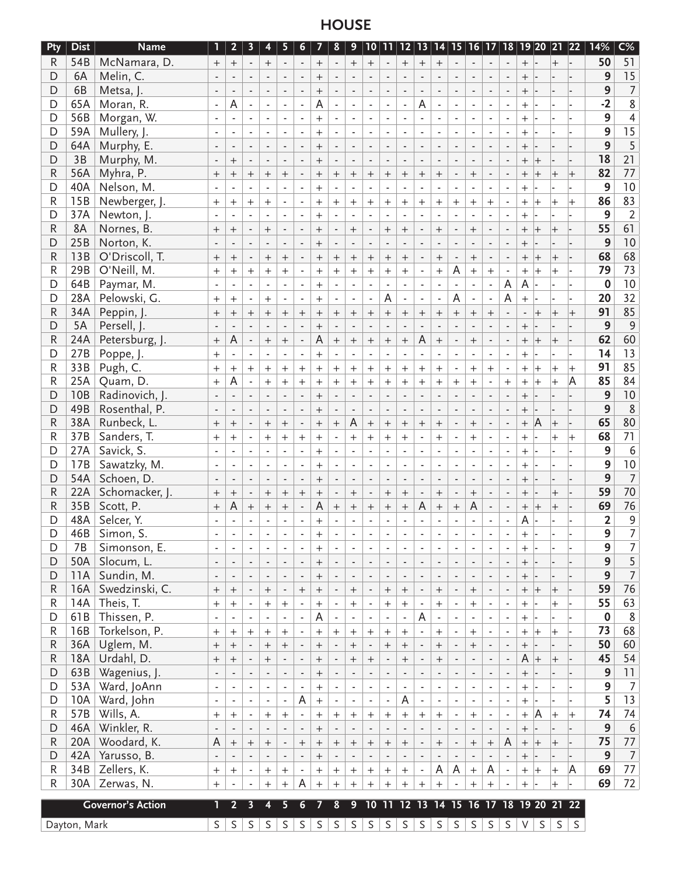# **HOUSE**

| Pty          | <b>Dist</b>  | <b>Name</b>              | 1                           | 2 <sub>2</sub>           | $\overline{\mathbf{3}}$  | $\overline{\mathbf{4}}$  | 5                        | 6 <sup>1</sup>           | 7                | 8                        | 9                            |                          |                                  |                          |                          |                          |                              |                             |                          |                          |                  |                          |                | 22   21  22  23  24  25  26  27  27  27  27  27  27  27 | 14%              | $C\%$          |
|--------------|--------------|--------------------------|-----------------------------|--------------------------|--------------------------|--------------------------|--------------------------|--------------------------|------------------|--------------------------|------------------------------|--------------------------|----------------------------------|--------------------------|--------------------------|--------------------------|------------------------------|-----------------------------|--------------------------|--------------------------|------------------|--------------------------|----------------|---------------------------------------------------------|------------------|----------------|
| R            | 54B          | McNamara, D.             | $+$                         | $\! +$                   | $\overline{\phantom{a}}$ | $\! +$                   | $\overline{\phantom{a}}$ |                          | $^{+}$           |                          | $^{+}$                       | $^{+}$                   | $\overline{\phantom{a}}$         | $^{+}$                   | $^{+}$                   | $^{+}$                   |                              | $\overline{\phantom{a}}$    | $\sim$                   | $\overline{\phantom{a}}$ | $+$              |                          | $^{+}$         |                                                         | 50               | 51             |
| D            | 6A           | Melin, C.                |                             |                          |                          |                          |                          |                          | $^{+}$           |                          |                              |                          |                                  |                          |                          |                          |                              |                             |                          |                          |                  |                          |                |                                                         | 9                | 15             |
| D            | 6B           | Metsa, J.                |                             |                          |                          |                          | $\overline{\phantom{a}}$ |                          | $^{+}$           |                          |                              |                          |                                  |                          | $\overline{\phantom{a}}$ |                          |                              | $\overline{a}$              |                          |                          | $^{+}$           |                          |                |                                                         | 9                | $\overline{7}$ |
| D            | 65A          | Moran, R.                |                             | A                        |                          |                          |                          |                          | Α                |                          |                              |                          | ÷,                               | ÷,                       | Α                        | ٠                        |                              | $\overline{\phantom{a}}$    |                          |                          | $\overline{+}$   |                          |                |                                                         | $-2$             | $\overline{8}$ |
| D            | 56B          | Morgan, W.               |                             |                          | ä,                       |                          | $\overline{\phantom{a}}$ | $\blacksquare$           | $^{+}$           | $\overline{\phantom{a}}$ |                              |                          | $\blacksquare$                   | $\blacksquare$           | $\blacksquare$           | $\overline{\phantom{a}}$ | ÷,                           | $\overline{\phantom{a}}$    |                          |                          | $\overline{+}$   |                          |                |                                                         | 9                |                |
| D            | 59A          | Mullery, J.              |                             |                          |                          | $\blacksquare$           | $\overline{\phantom{a}}$ |                          | $+$              |                          |                              |                          | $\sim$                           | ÷.                       |                          |                          | $\overline{\phantom{a}}$     | $\blacksquare$              |                          |                          | $^{+}$           |                          |                |                                                         | 9                | $\frac{4}{15}$ |
| D            | 64A          | Murphy, E.               | $\overline{\phantom{a}}$    |                          | $\overline{a}$           | $\overline{\phantom{a}}$ | ÷,                       |                          | $+$              |                          |                              |                          | ÷,                               | ÷,                       |                          |                          |                              | $\overline{\phantom{a}}$    |                          |                          | $^{+}$           |                          |                |                                                         | 9                | $\overline{5}$ |
| D            | 3B           | Murphy, M.               |                             | $^{+}$                   |                          |                          |                          |                          | $\ddot{}$        |                          |                              |                          |                                  |                          |                          |                          |                              |                             |                          |                          | $\overline{+}$   | $^{+}$                   |                |                                                         | 18               | 21             |
| $\mathsf R$  | 56A          | Myhra, P.                |                             |                          |                          |                          |                          |                          |                  |                          |                              |                          |                                  |                          |                          |                          |                              |                             |                          |                          |                  |                          |                |                                                         | 82               | 77             |
|              | 40A          | Nelson, M.               | $^{+}$                      | $^{+}$                   | $^{+}$                   | $\! +$                   | $^{+}$                   |                          | $^{+}$           | $+$                      | $^{+}$                       | $^{+}$                   | $^{+}$                           | $^{+}$                   | $^{+}$                   | $^{+}$                   |                              | $^{+}$                      |                          |                          | $^{+}$           | $\ddot{}$                | $^{+}$         | $^{+}$                                                  | 9                | 10             |
| D            |              |                          |                             |                          |                          |                          |                          |                          | $^{+}$           |                          |                              |                          |                                  |                          |                          |                          |                              |                             |                          |                          | $^{+}$           |                          |                |                                                         |                  |                |
| $\mathsf{R}$ | 15B          | Newberger, J.            | $^{+}$                      | $^{+}$                   | $^{+}$                   | $+$                      | $\blacksquare$           |                          | $^{+}$           | $+$                      | $^{+}$                       | $\ddot{}$                | $^{+}$                           | $^{+}$                   | $+$                      | $^{+}$                   | $^{+}$                       | $^{+}$                      | $^{+}$                   |                          | $+$              | $\overline{+}$           | $\ddot{}$      | $\overline{+}$                                          | 86               | 83             |
| D            | 37A          | Newton, J.               |                             |                          |                          |                          |                          |                          | $^{+}$           |                          | $\blacksquare$               |                          | $\overline{\phantom{a}}$         | $\overline{\phantom{a}}$ |                          |                          |                              |                             |                          |                          | $\ddot{}$        |                          |                |                                                         | 9                | $\overline{2}$ |
| R            | 8A           | Nornes, B.               | $^{+}$                      | $^{+}$                   |                          | $+$                      |                          |                          | $+$              |                          | $^{+}$                       |                          | $^{+}$                           | $+$                      | $\overline{\phantom{a}}$ | $^{+}$                   |                              | $^{+}$                      |                          |                          | $^{+}$           |                          | $\ddot{}$      |                                                         | 55               | 61             |
| D            | 25B          | Norton, K.               |                             |                          |                          |                          |                          |                          | $+$              |                          |                              |                          | L                                |                          |                          | $\overline{\phantom{a}}$ |                              |                             |                          |                          | $\overline{+}$   |                          |                |                                                         | 9                | 10             |
| R            | 13B          | O'Driscoll, T.           | $^{+}$                      | $\! +$                   |                          | $+$                      | $^{+}$                   |                          | $^{+}$           | $^{+}$                   | $^{+}$                       | $^{+}$                   | $^{+}$                           | $^{+}$                   |                          | $^{+}$                   |                              | $^{+}$                      |                          |                          | $^{+}$           | $\overline{+}$           | $\ddag$        |                                                         | 68               | 68             |
| R            | 29B          | O'Neill, M.              | $^{+}$                      | $+$                      | $^{+}$                   | $+$                      | $\ddot{}$                | ÷,                       | $^{+}$           | $^{+}$                   | $^{+}$                       | $^{+}$                   | $+$                              | $^{+}$                   | ÷,                       | $^{+}$                   | A                            | $^{+}$                      | $\ddot{}$                | $\blacksquare$           | $\, + \,$        | $\overline{+}$           |                |                                                         | 79               | 73             |
| D            | 64B          | Paymar, M.               | $\overline{\phantom{a}}$    |                          |                          |                          | $\overline{\phantom{a}}$ | $\blacksquare$           | $^{+}$           |                          |                              |                          | ä,                               | $\overline{\phantom{a}}$ | $\blacksquare$           | $\overline{\phantom{a}}$ | $\blacksquare$               |                             |                          | Α                        | A                |                          |                |                                                         | $\boldsymbol{0}$ | 10             |
| D            | 28A          | Pelowski, G.             | $^{+}$                      | $^{+}$                   | $\blacksquare$           | $^{+}$                   | $\blacksquare$           |                          | $^{+}$           |                          |                              | ä,                       | A                                | $\overline{\phantom{a}}$ |                          | ÷,                       | A                            | $\blacksquare$              |                          | A                        | $^{+}$           |                          |                |                                                         | 20               | 32             |
| $\mathsf{R}$ | 34A          | Peppin, J.               | $^{+}$                      | $^{+}$                   | $^{+}$                   |                          | $^{+}$                   | $^{+}$                   | $^{+}$           | $^{+}$                   | $^{+}$                       | $^{+}$                   | $^{+}$                           | $^{+}$                   | $^{+}$                   | $^{+}$                   | $^{+}$                       |                             | $^{+}$                   |                          |                  | $\ddot{}$                | $\overline{+}$ | $^{+}$                                                  | 91               | 85             |
| D            | 5A           | Persell, J.              |                             |                          |                          |                          |                          |                          | $^{+}$           |                          |                              |                          |                                  |                          |                          |                          |                              |                             |                          |                          | $^{+}$           |                          |                |                                                         | 9                | $\overline{9}$ |
| $\mathsf{R}$ | 24A          | Petersburg, J.           | $\ddot{}$                   | A                        |                          | $\! + \!$                | $^{+}$                   |                          | A                | $^{+}$                   | $\ddot{}$                    | $\ddot{}$                | $^{+}$                           | $^{+}$                   | A                        | $^{+}$                   |                              | $\ddot{}$                   |                          |                          | $^{+}$           | $^{+}$                   | $^{+}$         |                                                         | 62               | 60             |
| D            | 27B          | Poppe, J.                | $^{+}$                      |                          |                          |                          |                          |                          | $^{+}$           |                          |                              |                          |                                  |                          |                          |                          |                              |                             |                          |                          | $^{+}$           |                          |                |                                                         | 14               | 13             |
| R            | 33B          | Pugh, C.                 | $\qquad \qquad +$           | $^{+}$                   | $\qquad \qquad +$        | $\boldsymbol{+}$         | $^{+}$                   | $^{+}$                   | $^{+}$           | $+$                      | $^{+}$                       | $^{+}$                   | $^{+}$                           | $^{+}$                   | $^{+}$                   | $\ddot{}$                |                              | $^{+}$                      | $^{+}$                   |                          | $^{+}$           | $\overline{+}$           | $\overline{+}$ | $^{+}$                                                  | 91               | 85             |
| R            | 25A          | Quam, D.                 | $^{+}$                      | A                        | $\overline{\phantom{a}}$ | $+$                      | $^{+}$                   | $^{+}$                   | $^{+}$           | $^{+}$                   | $^{+}$                       | $^{+}$                   | $^{+}$                           | $^{+}$                   | $^{+}$                   | $\overline{+}$           | $\ddot{}$                    | $^{+}$                      |                          | $^{+}$                   | $^{+}$           | $\overline{+}$           | $\overline{+}$ | Α                                                       | 85               | 84             |
| D            | 10B          | Radinovich, J.           |                             |                          |                          |                          |                          |                          | $+$              |                          |                              |                          |                                  |                          |                          |                          |                              |                             |                          |                          | $^{+}$           |                          |                |                                                         | 9                | $10$           |
| D            | 49B          | Rosenthal, P.            |                             |                          |                          |                          |                          |                          |                  |                          |                              |                          |                                  |                          |                          |                          |                              |                             |                          |                          |                  |                          |                |                                                         | 9                | 8              |
| R            | 38A          | Runbeck, L.              |                             |                          |                          |                          |                          |                          | $^{+}$           |                          | A                            |                          |                                  |                          |                          |                          |                              | $\overline{\phantom{a}}$    |                          |                          | $\overline{+}$   | A                        |                |                                                         | 65               | 80             |
|              |              |                          | $^{+}$                      | $^{+}$                   |                          | $\boldsymbol{+}$         | $+$                      | $\overline{a}$           | $^{+}$           | $^{+}$                   |                              | $^{+}$                   | $^{+}$                           | $^{+}$                   | $^{+}$                   | $^{+}$                   |                              | $^{+}$                      |                          |                          | $^{+}$           |                          | $\overline{+}$ |                                                         |                  |                |
| R            | 37B          | Sanders, T.              | $+$                         | $+$                      | $\blacksquare$           | $+$                      | $^{+}$                   | $^{+}$                   | $+$              |                          | $^{+}$                       | $\ddot{}$                | $+$                              | $^{+}$                   | $\blacksquare$           | $^{+}$                   | $\overline{\phantom{m}}$     | $^{+}$                      |                          | $\overline{\phantom{a}}$ | $\ddot{}$        |                          | $\ddot{}$      | $^{+}$                                                  | 68               | 71             |
| D            | 27A          | Savick, S.               |                             | $\sim$                   | $\blacksquare$           | $\overline{\phantom{a}}$ | ä,                       | $\overline{\phantom{a}}$ | $+$              | $\blacksquare$           | $\blacksquare$               | ÷,                       | $\overline{a}$                   | $\overline{a}$           | ÷,                       | $\overline{\phantom{a}}$ | $\blacksquare$               | $\mathcal{L}_{\mathcal{A}}$ |                          | $\blacksquare$           | $^{+}$           |                          |                |                                                         | 9                | $\sqrt{6}$     |
| D            | 17B          | Sawatzky, M.             | $\sim$                      | $\overline{a}$           | ÷,                       | ÷,                       |                          |                          | $\ddot{}$        |                          |                              |                          |                                  | L.                       |                          |                          |                              | $\omega$                    |                          | ÷,                       | $^{+}$           |                          |                |                                                         | 9                | $10\,$         |
| D            | 54A          | Schoen, D.               |                             |                          |                          |                          |                          |                          | $^{+}$           |                          |                              |                          |                                  |                          |                          |                          |                              |                             |                          |                          | $^{+}$           |                          |                |                                                         | 9                | $\overline{7}$ |
| $\mathsf{R}$ | 22A          | Schomacker, J.           | $\ddot{}$                   | $^{+}$                   | $\blacksquare$           | $\! + \!\!\!\!$          | $^{+}$                   | $^{+}$                   | $^{+}$           |                          | $^{+}$                       |                          | $\! + \!$                        | $\! +$                   |                          | $^{+}$                   |                              | $^{+}$                      |                          |                          | $^{+}$           |                          | $^{+}$         |                                                         | 59               | 70             |
| $\mathsf{R}$ | 35B          | Scott, P.                | $^{+}$                      | A                        | $\boldsymbol{+}$         | $\boldsymbol{+}$         | $^{+}$                   | $\overline{\phantom{a}}$ | A                | $\boldsymbol{+}$         | $^{+}$                       | $^{+}$                   | $^{+}$                           |                          | A                        | $^{+}$                   | $\boldsymbol{+}$             | A                           |                          | $\centerdot$             | $^+$             | $^{+}$                   | $\ddot{}$      |                                                         | 69               | 76             |
| D            | 48A          | Selcer, Y.               |                             |                          |                          |                          |                          |                          | $^{+}$           |                          |                              |                          |                                  |                          |                          |                          |                              |                             |                          |                          | A                |                          |                |                                                         | $\mathbf{2}$     | 9              |
| D            | 46B          | Simon, S                 |                             |                          |                          |                          |                          |                          | $^{+}$           |                          |                              |                          |                                  |                          |                          |                          |                              |                             |                          |                          | $^{+}$           |                          |                |                                                         | 9                | $\overline{7}$ |
| D            | 7B           | Simonson, E.             | ä,                          | $\blacksquare$           | $\overline{\phantom{a}}$ | $\overline{\phantom{a}}$ | $\overline{\phantom{a}}$ | $\overline{\phantom{a}}$ | $^{+}$           | $\blacksquare$           | $\overline{\phantom{a}}$     |                          | $\overline{\phantom{a}}$         | $\overline{\phantom{a}}$ | $\overline{\phantom{a}}$ | $\blacksquare$           | $\overline{\phantom{a}}$     | $\blacksquare$              | $\blacksquare$           | $\overline{\phantom{a}}$ | $^{+}$           |                          |                |                                                         | 9                | $\overline{7}$ |
| D            | 50A          | Slocum, L.               | $\blacksquare$              |                          |                          | $\overline{\phantom{a}}$ | $\overline{\phantom{a}}$ | $\overline{\phantom{a}}$ | $^{+}$           | $\overline{\phantom{a}}$ | $\qquad \qquad \blacksquare$ |                          | $\overline{\phantom{a}}$         | $\overline{\phantom{a}}$ | $\overline{\phantom{a}}$ | $\overline{\phantom{a}}$ | $\overline{\phantom{a}}$     | $\overline{\phantom{a}}$    |                          |                          | $^{+}$           |                          |                |                                                         | 9                | $\frac{5}{7}$  |
| D            | 11A          | Sundin, M.               | $\overline{\phantom{a}}$    | $\overline{\phantom{a}}$ | $\overline{\phantom{a}}$ | $\overline{\phantom{a}}$ | $\overline{\phantom{a}}$ | $\overline{\phantom{a}}$ | $^{+}$           | $\overline{\phantom{a}}$ | $\overline{\phantom{a}}$     | $\overline{\phantom{a}}$ | $\overline{\phantom{a}}$         | $\overline{\phantom{a}}$ | $\overline{\phantom{a}}$ | $\overline{\phantom{a}}$ | $\overline{\phantom{a}}$     | $\overline{\phantom{a}}$    |                          |                          | $\! +$           |                          |                |                                                         | $\overline{9}$   |                |
| R            | 16A          | Swedzinski, C.           | $^{+}$                      | $^{+}$                   | $\overline{\phantom{a}}$ | $^{+}$                   | $\overline{\phantom{a}}$ | $^{+}$                   | $^{+}$           | $\overline{\phantom{a}}$ | $^{+}$                       | $\overline{\phantom{a}}$ | $^{+}$                           | $\qquad \qquad +$        | $\overline{\phantom{a}}$ | $^{+}$                   | $\overline{\phantom{a}}$     | $\boldsymbol{+}$            | $\overline{\phantom{a}}$ | $\overline{\phantom{a}}$ | $+$              | $ +$                     | $\pm$          |                                                         | 59               | 76             |
| R            | 14A          | Theis, T.                | $^{+}$                      | $\qquad \qquad +$        | $\overline{\phantom{a}}$ | $+$                      | $^{+}$                   | $\overline{\phantom{a}}$ | $^{+}$           | $\overline{\phantom{a}}$ | $^{+}$                       | $\overline{\phantom{a}}$ | $^{+}$                           | $\boldsymbol{+}$         | $\overline{\phantom{a}}$ | $^{+}$                   | $\overline{\phantom{a}}$     | $\boldsymbol{+}$            | $\overline{\phantom{a}}$ | $\overline{\phantom{a}}$ | $+$              |                          | $^{+}$         |                                                         | 55               | 63             |
| D            | 61B          | Thissen, P.              | $\mathcal{L}_{\mathcal{A}}$ | $\overline{\phantom{a}}$ | $\overline{\phantom{a}}$ | ÷,                       | $\overline{\phantom{a}}$ | $\overline{\phantom{a}}$ | A                | $\overline{\phantom{a}}$ | ä,                           | $\blacksquare$           | $\overline{\phantom{a}}$         | $\overline{\phantom{a}}$ | A                        | $\blacksquare$           | ä,                           | $\mathcal{L}_{\mathcal{A}}$ | $\blacksquare$           | $\sim$                   | $+$              |                          |                |                                                         | $\mathbf 0$      | $8\phantom{1}$ |
| R            |              | 16B Torkelson, P.        | $^{+}$                      | $^{+}$                   | $^{+}$                   | $\boldsymbol{+}$         | $^{+}$                   | $\overline{\phantom{a}}$ | $^{+}$           | $^{+}$                   | $^{+}$                       | $^{+}$                   | $^{+}$                           | $\qquad \qquad +$        |                          | $^{+}$                   | $\overline{\phantom{a}}$     | $^{+}$                      |                          |                          | $\boldsymbol{+}$ | $\left  + \right\rangle$ | $\overline{+}$ |                                                         | 73               | 68             |
| R            | 36A          | Uglem, M.                | $^{+}$                      | $\! + \!$                |                          |                          | $^+$                     | $\overline{\phantom{a}}$ | $^{+}$           | $\blacksquare$           | $^{+}$                       |                          | $\! + \!$                        | $\! + \!\!\!\!$          |                          | $^{+}$                   | $\qquad \qquad \blacksquare$ | $\boldsymbol{+}$            |                          | $\overline{\phantom{a}}$ | $^{+}$           |                          |                |                                                         | 50               | 60             |
| R            | 18A          | Urdahl, D.               | $^{+}$                      | $^{+}$                   | $\overline{\phantom{a}}$ | $^{+}$                   | $\overline{\phantom{a}}$ | $\overline{\phantom{a}}$ | $^{+}$           | $\overline{\phantom{a}}$ | $\! + \!$                    |                          |                                  |                          |                          |                          |                              | $\overline{\phantom{a}}$    | $\overline{\phantom{a}}$ | $\overline{\phantom{a}}$ | $A +$            |                          | $^{+}$         |                                                         | 45               | 54             |
| D            |              | 63B   Wagenius, J.       |                             |                          |                          |                          |                          |                          |                  |                          |                              | $^{+}$                   | $\overline{\phantom{a}}$         |                          | $\overline{\phantom{a}}$ | $^{+}$                   | $\overline{\phantom{a}}$     |                             |                          |                          |                  |                          |                |                                                         | 9                | 11             |
|              |              |                          |                             | $\overline{\phantom{a}}$ | $\overline{\phantom{a}}$ | $\overline{\phantom{a}}$ | $\overline{\phantom{a}}$ | $\overline{\phantom{a}}$ | $+$              | $\overline{\phantom{a}}$ | $\overline{\phantom{a}}$     | $\overline{\phantom{a}}$ | $\overline{\phantom{a}}$         | $\overline{\phantom{a}}$ | $\overline{\phantom{a}}$ | $\overline{\phantom{a}}$ | $\overline{\phantom{a}}$     | $\overline{\phantom{a}}$    |                          | $\overline{\phantom{a}}$ | $\! + \!\!\!\!$  |                          |                |                                                         |                  |                |
| D            |              | 53A   Ward, JoAnn        | $\overline{\phantom{a}}$    | $\overline{\phantom{a}}$ | $\overline{\phantom{a}}$ | $\overline{\phantom{a}}$ | $\overline{\phantom{a}}$ | $\overline{\phantom{a}}$ | $\boldsymbol{+}$ | $\blacksquare$           | $\overline{\phantom{a}}$     | $\overline{\phantom{a}}$ | ä,                               | $\overline{\phantom{a}}$ | $\overline{\phantom{a}}$ | $\overline{\phantom{a}}$ | $\blacksquare$               | $\overline{\phantom{a}}$    | $\overline{\phantom{a}}$ | $\overline{\phantom{a}}$ | $\boldsymbol{+}$ |                          |                |                                                         | $9\,$            | $\overline{7}$ |
| D            | 10A          | Ward, John               | $\overline{\phantom{a}}$    |                          | $\sim$                   | $\overline{\phantom{a}}$ | $\overline{\phantom{a}}$ | A                        | $\boldsymbol{+}$ | $\blacksquare$           | ÷,                           | $\blacksquare$           | $\blacksquare$                   | A                        | $\overline{\phantom{a}}$ | $\sim$                   | ä,                           | $\blacksquare$              |                          |                          | $^{+}$           |                          |                |                                                         | 5                | 13             |
| R            | 57B          | Wills, A.                | $^{+}$                      | $^{+}$                   | $\overline{\phantom{a}}$ | $+$                      | $+$                      | $\overline{\phantom{a}}$ | $^{+}$           | $\boldsymbol{+}$         | $^{+}$                       | $^{+}$                   | $\begin{array}{c} + \end{array}$ | $\boldsymbol{+}$         | $^{+}$                   | $^{+}$                   | $\blacksquare$               | $^{+}$                      |                          |                          | $^{+}$           | A                        | $^{+}$         | $^{+}$                                                  | 74               | 74             |
| D            | 46A          | Winkler, R.              | $\overline{\phantom{a}}$    |                          | $\overline{\phantom{a}}$ |                          | $\overline{\phantom{a}}$ | $\overline{\phantom{a}}$ | $^{+}$           | $\overline{\phantom{a}}$ | $\overline{\phantom{a}}$     | $\overline{\phantom{a}}$ | $\blacksquare$                   | $\overline{\phantom{a}}$ | $\overline{\phantom{a}}$ | $\overline{\phantom{a}}$ | $\qquad \qquad \blacksquare$ | $\overline{\phantom{a}}$    | $\overline{\phantom{a}}$ | $\overline{\phantom{a}}$ | $\! +$           |                          |                |                                                         | 9                | $\sqrt{6}$     |
| R            | 20A          | Woodard, K.              | A                           | $\boldsymbol{+}$         | $^{+}$                   | $^{+}$                   | $\overline{\phantom{a}}$ | $\mathrm{+}$             | $\! +$           | $^{+}$                   | $\qquad \qquad +$            |                          | $^{+}$                           | $\boldsymbol{+}$         | $\overline{\phantom{a}}$ | $\! +$                   | $\overline{\phantom{a}}$     | $\boldsymbol{+}$            | $+$                      | A                        | $^{+}$           | $\left  + \right\rangle$ | $^{+}$         |                                                         | 75               | $77\,$         |
| D            | 42A          | Yarusso, B.              | $\overline{\phantom{a}}$    | $\overline{\phantom{a}}$ | $\overline{\phantom{a}}$ | $\overline{\phantom{a}}$ | $\overline{\phantom{a}}$ | $\overline{\phantom{a}}$ | $\boldsymbol{+}$ | $\overline{\phantom{a}}$ | $\overline{\phantom{a}}$     | $\overline{\phantom{a}}$ | $\blacksquare$                   | $\overline{\phantom{a}}$ | $\overline{\phantom{a}}$ | $\overline{\phantom{a}}$ | $\blacksquare$               | $\overline{\phantom{a}}$    | $\overline{\phantom{a}}$ | $\overline{\phantom{a}}$ | $\! +$           |                          |                |                                                         | 9                | $\overline{7}$ |
| R            | 34B          | Zellers, K.              | $^{+}$                      | $\boldsymbol{+}$         | $\overline{\phantom{a}}$ | $\boldsymbol{+}$         | $^{+}$                   | $\overline{\phantom{a}}$ | $\boldsymbol{+}$ | $\boldsymbol{+}$         | $\boldsymbol{+}$             | $\qquad \qquad +$        | $\boldsymbol{+}$                 | $+$                      | $\overline{\phantom{a}}$ | A                        | A                            | $\boldsymbol{+}$            | A                        | $\blacksquare$           | $^{+}$           | $\left  + \right\rangle$ | $\overline{+}$ | A                                                       | 69               | $77 \,$        |
| R            | 30A          | Zerwas, N.               | $+$                         | $\sim$                   | $\bar{\phantom{a}}$      | $+$                      | $^{+}$                   | A                        | $+$              | $^{+}$                   | $^{+}$                       | $^{+}$                   | $+$                              | $^{+}$                   | $^{+}$                   | $^{+}$                   |                              | $^{+}$                      | $+$                      |                          | $^{+}$           |                          | $\ddot{}$      |                                                         | 69               | 72             |
|              |              |                          |                             |                          |                          |                          |                          |                          |                  |                          |                              |                          |                                  |                          |                          |                          |                              |                             |                          |                          |                  |                          |                |                                                         |                  |                |
|              |              | <b>Governor's Action</b> | 1                           | $\overline{2}$           | $\overline{\mathbf{3}}$  | 4                        | 5                        | 6                        | 7                | 8                        | 9                            |                          |                                  |                          |                          |                          |                              |                             |                          |                          |                  |                          |                | 10 11 12 13 14 15 16 17 18 19 20 21 22                  |                  |                |
|              | Dayton, Mark |                          | S                           | $\mathsf S$              | $\mathsf S$              | S                        | $\mathsf{S}$             | S                        | S                | S                        | $\mathsf S$                  |                          |                                  | S   S   S                | $\mathsf{S}$             |                          | S   S                        | S                           | $\mathsf{S}$             | S                        | $\vee$           | $\mathsf{S}$             | $\mathsf S$    | $\mathsf S$                                             |                  |                |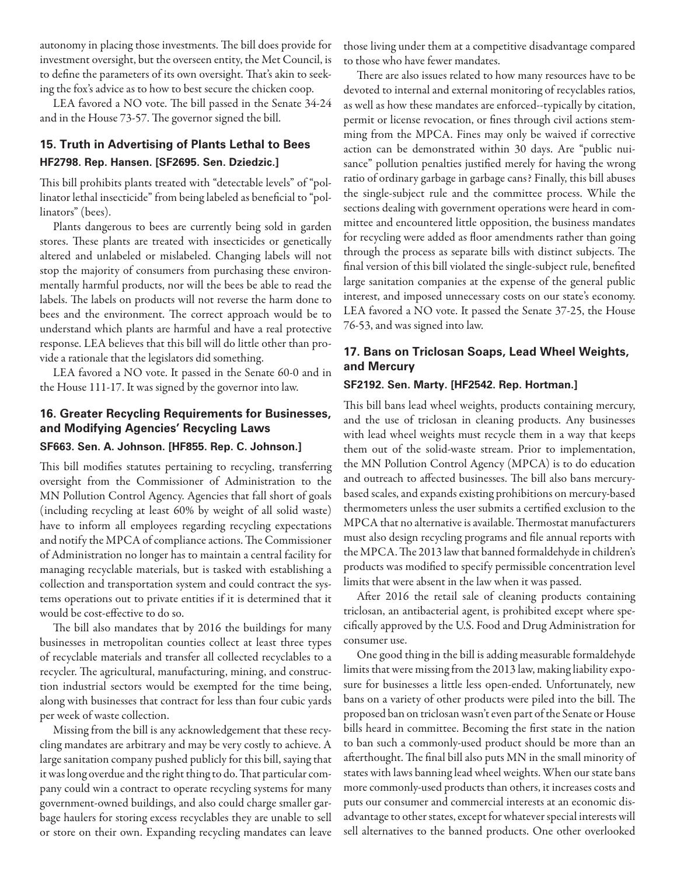autonomy in placing those investments. The bill does provide for investment oversight, but the overseen entity, the Met Council, is to define the parameters of its own oversight. That's akin to seeking the fox's advice as to how to best secure the chicken coop.

LEA favored a NO vote. The bill passed in the Senate 34-24 and in the House 73-57. The governor signed the bill.

# **15. Truth in Advertising of Plants Lethal to Bees HF2798. Rep. Hansen. [SF2695. Sen. Dziedzic.]**

This bill prohibits plants treated with "detectable levels" of "pollinator lethal insecticide" from being labeled as beneficial to "pollinators" (bees).

Plants dangerous to bees are currently being sold in garden stores. These plants are treated with insecticides or genetically altered and unlabeled or mislabeled. Changing labels will not stop the majority of consumers from purchasing these environmentally harmful products, nor will the bees be able to read the labels. The labels on products will not reverse the harm done to bees and the environment. The correct approach would be to understand which plants are harmful and have a real protective response. LEA believes that this bill will do little other than provide a rationale that the legislators did something.

LEA favored a NO vote. It passed in the Senate 60-0 and in the House 111-17. It was signed by the governor into law.

## **16. Greater Recycling Requirements for Businesses, and Modifying Agencies' Recycling Laws**

#### **SF663. Sen. A. Johnson. [HF855. Rep. C. Johnson.]**

This bill modifies statutes pertaining to recycling, transferring oversight from the Commissioner of Administration to the MN Pollution Control Agency. Agencies that fall short of goals (including recycling at least 60% by weight of all solid waste) have to inform all employees regarding recycling expectations and notify the MPCA of compliance actions. The Commissioner of Administration no longer has to maintain a central facility for managing recyclable materials, but is tasked with establishing a collection and transportation system and could contract the systems operations out to private entities if it is determined that it would be cost-effective to do so.

The bill also mandates that by 2016 the buildings for many businesses in metropolitan counties collect at least three types of recyclable materials and transfer all collected recyclables to a recycler. The agricultural, manufacturing, mining, and construction industrial sectors would be exempted for the time being, along with businesses that contract for less than four cubic yards per week of waste collection.

Missing from the bill is any acknowledgement that these recycling mandates are arbitrary and may be very costly to achieve. A large sanitation company pushed publicly for this bill, saying that it was long overdue and the right thing to do. That particular company could win a contract to operate recycling systems for many government-owned buildings, and also could charge smaller garbage haulers for storing excess recyclables they are unable to sell or store on their own. Expanding recycling mandates can leave

those living under them at a competitive disadvantage compared to those who have fewer mandates.

There are also issues related to how many resources have to be devoted to internal and external monitoring of recyclables ratios, as well as how these mandates are enforced--typically by citation, permit or license revocation, or fines through civil actions stemming from the MPCA. Fines may only be waived if corrective action can be demonstrated within 30 days. Are "public nuisance" pollution penalties justified merely for having the wrong ratio of ordinary garbage in garbage cans? Finally, this bill abuses the single-subject rule and the committee process. While the sections dealing with government operations were heard in committee and encountered little opposition, the business mandates for recycling were added as floor amendments rather than going through the process as separate bills with distinct subjects. The final version of this bill violated the single-subject rule, benefited large sanitation companies at the expense of the general public interest, and imposed unnecessary costs on our state's economy. LEA favored a NO vote. It passed the Senate 37-25, the House 76-53, and was signed into law.

# **17. Bans on Triclosan Soaps, Lead Wheel Weights, and Mercury**

### **SF2192. Sen. Marty. [HF2542. Rep. Hortman.]**

This bill bans lead wheel weights, products containing mercury, and the use of triclosan in cleaning products. Any businesses with lead wheel weights must recycle them in a way that keeps them out of the solid-waste stream. Prior to implementation, the MN Pollution Control Agency (MPCA) is to do education and outreach to affected businesses. The bill also bans mercurybased scales, and expands existing prohibitions on mercury-based thermometers unless the user submits a certified exclusion to the MPCA that no alternative is available. Thermostat manufacturers must also design recycling programs and file annual reports with the MPCA. The 2013 law that banned formaldehyde in children's products was modified to specify permissible concentration level limits that were absent in the law when it was passed.

After 2016 the retail sale of cleaning products containing triclosan, an antibacterial agent, is prohibited except where specifically approved by the U.S. Food and Drug Administration for consumer use.

One good thing in the bill is adding measurable formaldehyde limits that were missing from the 2013 law, making liability exposure for businesses a little less open-ended. Unfortunately, new bans on a variety of other products were piled into the bill. The proposed ban on triclosan wasn't even part of the Senate or House bills heard in committee. Becoming the first state in the nation to ban such a commonly-used product should be more than an afterthought. The final bill also puts MN in the small minority of states with laws banning lead wheel weights. When our state bans more commonly-used products than others, it increases costs and puts our consumer and commercial interests at an economic disadvantage to other states, except for whatever special interests will sell alternatives to the banned products. One other overlooked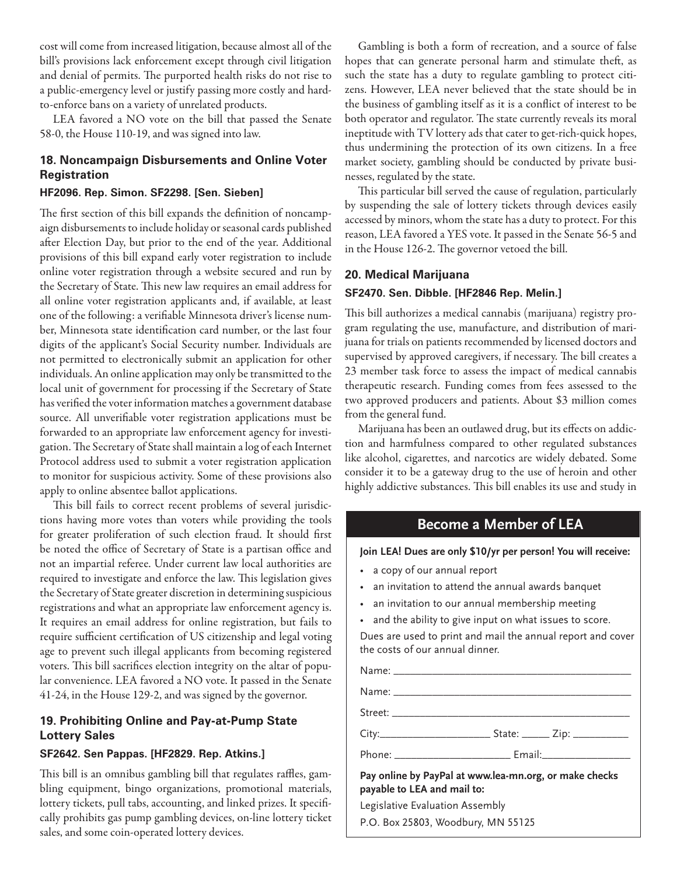cost will come from increased litigation, because almost all of the bill's provisions lack enforcement except through civil litigation and denial of permits. The purported health risks do not rise to a public-emergency level or justify passing more costly and hardto-enforce bans on a variety of unrelated products.

LEA favored a NO vote on the bill that passed the Senate 58-0, the House 110-19, and was signed into law.

### **18. Noncampaign Disbursements and Online Voter Registration**

#### **HF2096. Rep. Simon. SF2298. [Sen. Sieben]**

The first section of this bill expands the definition of noncampaign disbursements to include holiday or seasonal cards published after Election Day, but prior to the end of the year. Additional provisions of this bill expand early voter registration to include online voter registration through a website secured and run by the Secretary of State. This new law requires an email address for all online voter registration applicants and, if available, at least one of the following: a verifiable Minnesota driver's license number, Minnesota state identification card number, or the last four digits of the applicant's Social Security number. Individuals are not permitted to electronically submit an application for other individuals. An online application may only be transmitted to the local unit of government for processing if the Secretary of State has verified the voter information matches a government database source. All unverifiable voter registration applications must be forwarded to an appropriate law enforcement agency for investigation. The Secretary of State shall maintain a log of each Internet Protocol address used to submit a voter registration application to monitor for suspicious activity. Some of these provisions also apply to online absentee ballot applications.

This bill fails to correct recent problems of several jurisdictions having more votes than voters while providing the tools for greater proliferation of such election fraud. It should first be noted the office of Secretary of State is a partisan office and not an impartial referee. Under current law local authorities are required to investigate and enforce the law. This legislation gives the Secretary of State greater discretion in determining suspicious registrations and what an appropriate law enforcement agency is. It requires an email address for online registration, but fails to require sufficient certification of US citizenship and legal voting age to prevent such illegal applicants from becoming registered voters. This bill sacrifices election integrity on the altar of popular convenience. LEA favored a NO vote. It passed in the Senate 41-24, in the House 129-2, and was signed by the governor.

## **19. Prohibiting Online and Pay-at-Pump State Lottery Sales**

#### **SF2642. Sen Pappas. [HF2829. Rep. Atkins.]**

This bill is an omnibus gambling bill that regulates raffles, gambling equipment, bingo organizations, promotional materials, lottery tickets, pull tabs, accounting, and linked prizes. It specifically prohibits gas pump gambling devices, on-line lottery ticket sales, and some coin-operated lottery devices.

Gambling is both a form of recreation, and a source of false hopes that can generate personal harm and stimulate theft, as such the state has a duty to regulate gambling to protect citizens. However, LEA never believed that the state should be in the business of gambling itself as it is a conflict of interest to be both operator and regulator. The state currently reveals its moral ineptitude with TV lottery ads that cater to get-rich-quick hopes, thus undermining the protection of its own citizens. In a free market society, gambling should be conducted by private businesses, regulated by the state.

This particular bill served the cause of regulation, particularly by suspending the sale of lottery tickets through devices easily accessed by minors, whom the state has a duty to protect. For this reason, LEA favored a YES vote. It passed in the Senate 56-5 and in the House 126-2. The governor vetoed the bill.

### **20. Medical Marijuana**

### **SF2470. Sen. Dibble. [HF2846 Rep. Melin.]**

This bill authorizes a medical cannabis (marijuana) registry program regulating the use, manufacture, and distribution of marijuana for trials on patients recommended by licensed doctors and supervised by approved caregivers, if necessary. The bill creates a 23 member task force to assess the impact of medical cannabis therapeutic research. Funding comes from fees assessed to the two approved producers and patients. About \$3 million comes from the general fund.

Marijuana has been an outlawed drug, but its effects on addiction and harmfulness compared to other regulated substances like alcohol, cigarettes, and narcotics are widely debated. Some consider it to be a gateway drug to the use of heroin and other highly addictive substances. This bill enables its use and study in

# **Become a Member of LEA**

**Join LEA! Dues are only \$10/yr per person! You will receive:**

- a copy of our annual report
- an invitation to attend the annual awards banquet
- an invitation to our annual membership meeting
- and the ability to give input on what issues to score.

Dues are used to print and mail the annual report and cover the costs of our annual dinner.

Name: \_\_\_\_\_\_\_\_\_\_\_\_\_\_\_\_\_\_\_\_\_\_\_\_\_\_\_\_\_\_\_\_\_\_\_\_\_\_\_\_\_\_\_ Name: \_\_\_\_\_\_\_\_\_\_\_\_\_\_\_\_\_\_\_\_\_\_\_\_\_\_\_\_\_\_\_\_\_\_\_\_\_\_\_\_\_\_\_ Street: \_\_\_\_\_\_\_\_\_\_\_\_\_\_\_\_\_\_\_\_\_\_\_\_\_\_\_\_\_\_\_\_\_\_\_\_\_\_\_\_\_\_\_ City:\_\_\_\_\_\_\_\_\_\_\_\_\_\_\_\_\_\_\_\_ State: \_\_\_\_\_ Zip: \_\_\_\_\_\_\_\_\_\_ Phone: \_\_\_\_\_\_\_\_\_\_\_\_\_\_\_\_\_\_\_\_\_ Email:\_\_\_\_\_\_\_\_\_\_\_\_\_\_\_\_ **Pay online by PayPal at www.lea-mn.org, or make checks** 

**payable to LEA and mail to:** Legislative Evaluation Assembly

P.O. Box 25803, Woodbury, MN 55125